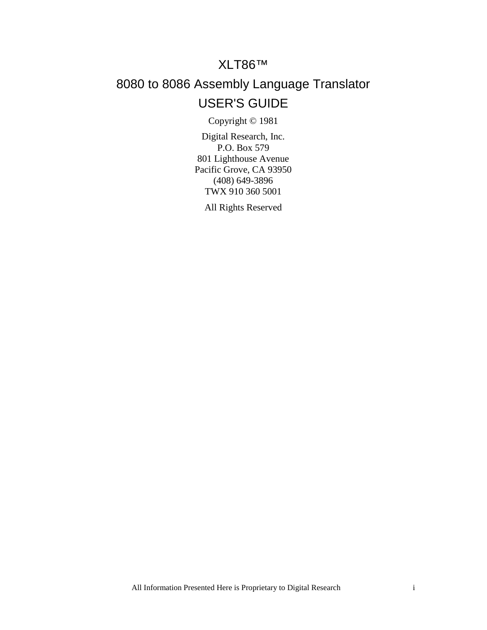# XLT86™

# 8080 to 8086 Assembly Language Translator USER'S GUIDE

Copyright © 1981

Digital Research, Inc. P.O. Box 579 801 Lighthouse Avenue Pacific Grove, CA 93950 (408) 649-3896 TWX 910 360 5001

All Rights Reserved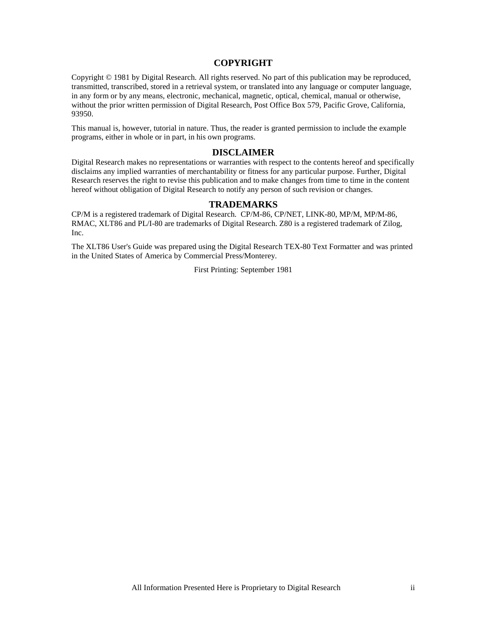# **COPYRIGHT**

Copyright © 1981 by Digital Research. All rights reserved. No part of this publication may be reproduced, transmitted, transcribed, stored in a retrieval system, or translated into any language or computer language, in any form or by any means, electronic, mechanical, magnetic, optical, chemical, manual or otherwise, without the prior written permission of Digital Research, Post Office Box 579, Pacific Grove, California, 93950.

This manual is, however, tutorial in nature. Thus, the reader is granted permission to include the example programs, either in whole or in part, in his own programs.

#### **DISCLAIMER**

Digital Research makes no representations or warranties with respect to the contents hereof and specifically disclaims any implied warranties of merchantability or fitness for any particular purpose. Further, Digital Research reserves the right to revise this publication and to make changes from time to time in the content hereof without obligation of Digital Research to notify any person of such revision or changes.

### **TRADEMARKS**

CP/M is a registered trademark of Digital Research. CP/M-86, CP/NET, LINK-80, MP/M, MP/M-86, RMAC, XLT86 and PL/I-80 are trademarks of Digital Research. Z80 is a registered trademark of Zilog, Inc.

The XLT86 User's Guide was prepared using the Digital Research TEX-80 Text Formatter and was printed in the United States of America by Commercial Press/Monterey.

First Printing: September 1981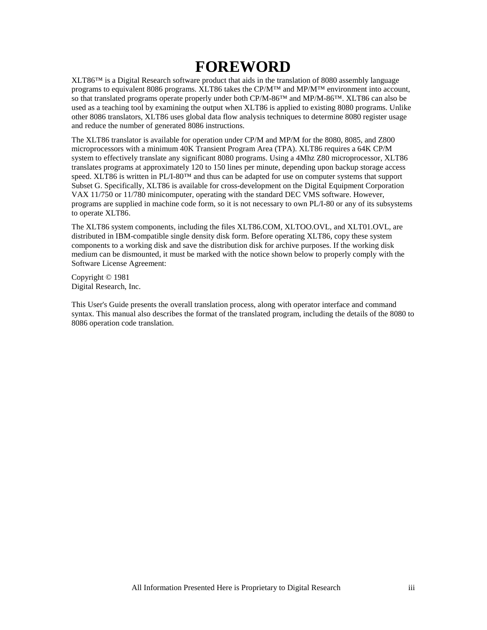# **FOREWORD**

XLT86™ is a Digital Research software product that aids in the translation of 8080 assembly language programs to equivalent 8086 programs. XLT86 takes the CP/M<sup>™</sup> and MP/M<sup>™</sup> environment into account, so that translated programs operate properly under both CP/M-86™ and MP/M-86™. XLT86 can also be used as a teaching tool by examining the output when XLT86 is applied to existing 8080 programs. Unlike other 8086 translators, XLT86 uses global data flow analysis techniques to determine 8080 register usage and reduce the number of generated 8086 instructions.

The XLT86 translator is available for operation under CP/M and MP/M for the 8080, 8085, and Z800 microprocessors with a minimum 40K Transient Program Area (TPA). XLT86 requires a 64K CP/M system to effectively translate any significant 8080 programs. Using a 4Mhz Z80 microprocessor, XLT86 translates programs at approximately 120 to 150 lines per minute, depending upon backup storage access speed. XLT86 is written in PL/I-80<sup>™</sup> and thus can be adapted for use on computer systems that support Subset G. Specifically, XLT86 is available for cross-development on the Digital Equipment Corporation VAX 11/750 or 11/780 minicomputer, operating with the standard DEC VMS software. However, programs are supplied in machine code form, so it is not necessary to own PL/I-80 or any of its subsystems to operate XLT86.

The XLT86 system components, including the files XLT86.COM, XLTOO.OVL, and XLT01.OVL, are distributed in IBM-compatible single density disk form. Before operating XLT86, copy these system components to a working disk and save the distribution disk for archive purposes. If the working disk medium can be dismounted, it must be marked with the notice shown below to properly comply with the Software License Agreement:

Copyright © 1981 Digital Research, Inc.

This User's Guide presents the overall translation process, along with operator interface and command syntax. This manual also describes the format of the translated program, including the details of the 8080 to 8086 operation code translation.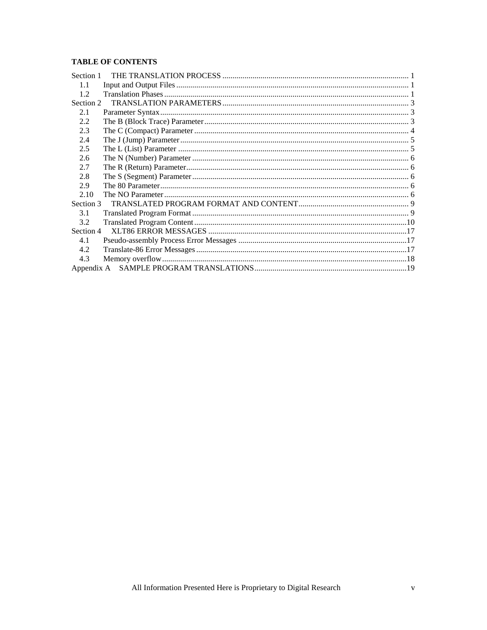# **TABLE OF CONTENTS**

| Section 1 |  |
|-----------|--|
| 1.1       |  |
| 1.2.      |  |
| Section 2 |  |
| 2.1       |  |
| 2.2       |  |
| 2.3       |  |
| 2.4       |  |
| 2.5       |  |
| 2.6       |  |
| 2.7       |  |
| 2.8       |  |
| 2.9       |  |
| 2.10      |  |
| Section 3 |  |
| 3.1       |  |
| 3.2       |  |
| Section 4 |  |
| 4.1       |  |
| 4.2       |  |
| 4.3       |  |
|           |  |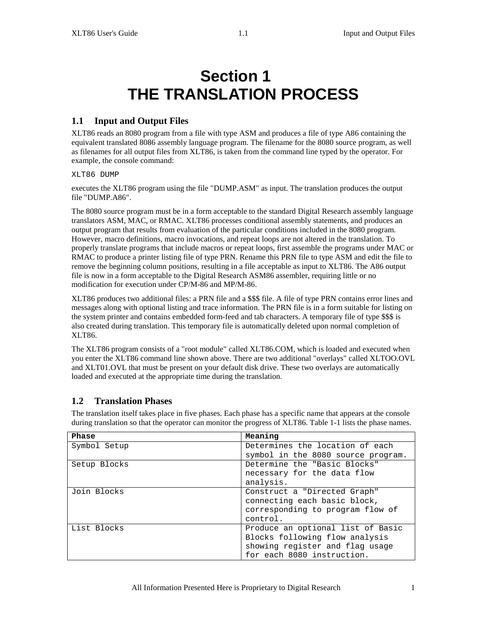# **Section 1 THE TRANSLATION PROCESS**

# **1.1 Input and Output Files**

XLT86 reads an 8080 program from a file with type ASM and produces a file of type A86 containing the equivalent translated 8086 assembly language program. The filename for the 8080 source program, as well as filenames for all output files from XLT86, is taken from the command line typed by the operator. For example, the console command:

XLT86 DUMP

executes the XLT86 program using the file "DUMP.ASM" as input. The translation produces the output file "DUMP.A86".

The 8080 source program must be in a form acceptable to the standard Digital Research assembly language translators ASM, MAC, or RMAC. XLT86 processes conditional assembly statements, and produces an output program that results from evaluation of the particular conditions included in the 8080 program. However, macro definitions, macro invocations, and repeat loops are not altered in the translation. To properly translate programs that include macros or repeat loops, first assemble the programs under MAC or RMAC to produce a printer listing file of type PRN. Rename this PRN file to type ASM and edit the file to remove the beginning column positions, resulting in a file acceptable as input to XLT86. The A86 output file is now in a form acceptable to the Digital Research ASM86 assembler, requiring little or no modification for execution under CP/M-86 and MP/M-86.

XLT86 produces two additional files: a PRN file and a \$\$\$ file. A file of type PRN contains error lines and messages along with optional listing and trace information. The PRN file is in a form suitable for listing on the system printer and contains embedded form-feed and tab characters. A temporary file of type \$\$\$ is also created during translation. This temporary file is automatically deleted upon normal completion of XLT86.

The XLT86 program consists of a "root module" called XLT86.COM, which is loaded and executed when you enter the XLT86 command line shown above. There are two additional "overlays" called XLTOO.OVL and XLT01.OVL that must be present on your default disk drive. These two overlays are automatically loaded and executed at the appropriate time during the translation.

# **1.2 Translation Phases**

The translation itself takes place in five phases. Each phase has a specific name that appears at the console during translation so that the operator can monitor the progress of XLT86. Table 1-1 lists the phase names.

| Phase        | Meaning                            |
|--------------|------------------------------------|
| Symbol Setup | Determines the location of each    |
|              | symbol in the 8080 source program. |
| Setup Blocks | Determine the "Basic Blocks"       |
|              | necessary for the data flow        |
|              | analysis.                          |
| Join Blocks  | Construct a "Directed Graph"       |
|              | connecting each basic block,       |
|              | corresponding to program flow of   |
|              | control.                           |
| List Blocks  | Produce an optional list of Basic  |
|              | Blocks following flow analysis     |
|              | showing register and flag usage    |
|              | for each 8080 instruction.         |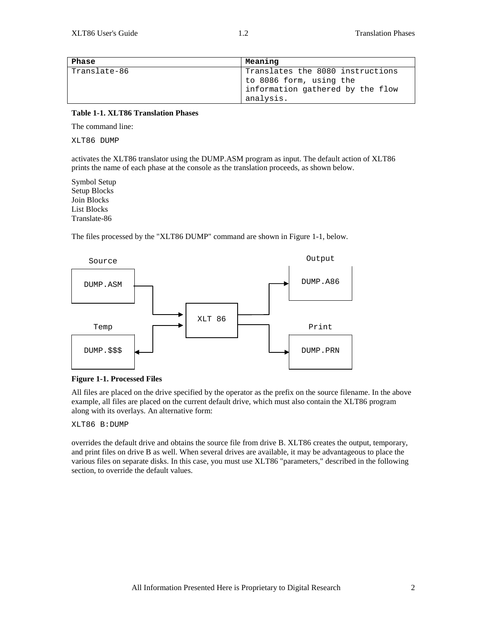| Phase        | Meaning                                                     |
|--------------|-------------------------------------------------------------|
| Translate-86 | Translates the 8080 instructions<br>to 8086 form, using the |
|              | information gathered by the flow<br>analysis.               |

#### **Table 1-1. XLT86 Translation Phases**

The command line:

XLT86 DUMP

activates the XLT86 translator using the DUMP.ASM program as input. The default action of XLT86 prints the name of each phase at the console as the translation proceeds, as shown below.

Symbol Setup Setup Blocks Join Blocks List Blocks Translate-86

The files processed by the "XLT86 DUMP" command are shown in Figure 1-1, below.



#### **Figure 1-1. Processed Files**

All files are placed on the drive specified by the operator as the prefix on the source filename. In the above example, all files are placed on the current default drive, which must also contain the XLT86 program along with its overlays. An alternative form:

#### XLT86 B:DUMP

overrides the default drive and obtains the source file from drive B. XLT86 creates the output, temporary, and print files on drive B as well. When several drives are available, it may be advantageous to place the various files on separate disks. In this case, you must use XLT86 "parameters," described in the following section, to override the default values.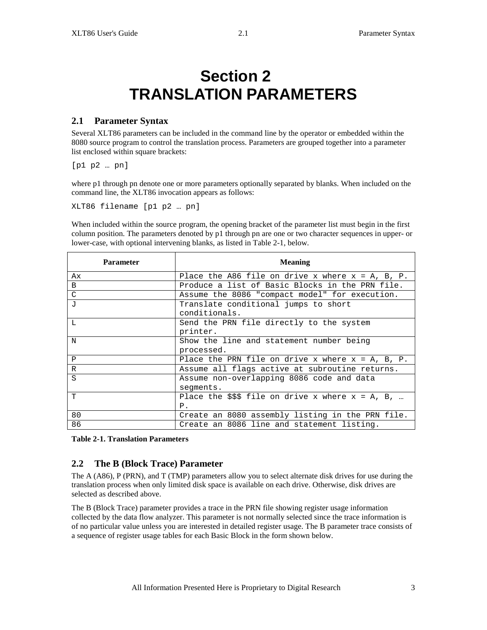# **Section 2 TRANSLATION PARAMETERS**

# **2.1 Parameter Syntax**

Several XLT86 parameters can be included in the command line by the operator or embedded within the 8080 source program to control the translation process. Parameters are grouped together into a parameter list enclosed within square brackets:

[p1 p2 … pn]

where p1 through pn denote one or more parameters optionally separated by blanks. When included on the command line, the XLT86 invocation appears as follows:

XLT86 filename [p1 p2 … pn]

When included within the source program, the opening bracket of the parameter list must begin in the first column position. The parameters denoted by p1 through pn are one or two character sequences in upper- or lower-case, with optional intervening blanks, as listed in Table 2-1, below.

| <b>Parameter</b> | <b>Meaning</b>                                        |  |  |
|------------------|-------------------------------------------------------|--|--|
| Ax               | Place the A86 file on drive x where $x = A$ , B, P.   |  |  |
| B                | Produce a list of Basic Blocks in the PRN file.       |  |  |
| C                | Assume the 8086 "compact model" for execution.        |  |  |
| $\mathbf{J}$     | Translate conditional jumps to short                  |  |  |
|                  | conditionals.                                         |  |  |
| L                | Send the PRN file directly to the system              |  |  |
|                  | printer.                                              |  |  |
| N                | Show the line and statement number being              |  |  |
|                  | processed.                                            |  |  |
| P                | Place the PRN file on drive x where $x = A$ , B, P.   |  |  |
| $\mathbb{R}$     | Assume all flags active at subroutine returns.        |  |  |
| S                | Assume non-overlapping 8086 code and data             |  |  |
|                  | seqments.                                             |  |  |
| T                | Place the $$$ \$\$ file on drive x where $x = A$ , B, |  |  |
|                  | $P$ .                                                 |  |  |
| 80               | Create an 8080 assembly listing in the PRN file.      |  |  |
| 86               | Create an 8086 line and statement listing.            |  |  |

**Table 2-1. Translation Parameters**

# **2.2 The B (Block Trace) Parameter**

The A (A86), P (PRN), and T (TMP) parameters allow you to select alternate disk drives for use during the translation process when only limited disk space is available on each drive. Otherwise, disk drives are selected as described above.

The B (Block Trace) parameter provides a trace in the PRN file showing register usage information collected by the data flow analyzer. This parameter is not normally selected since the trace information is of no particular value unless you are interested in detailed register usage. The B parameter trace consists of a sequence of register usage tables for each Basic Block in the form shown below.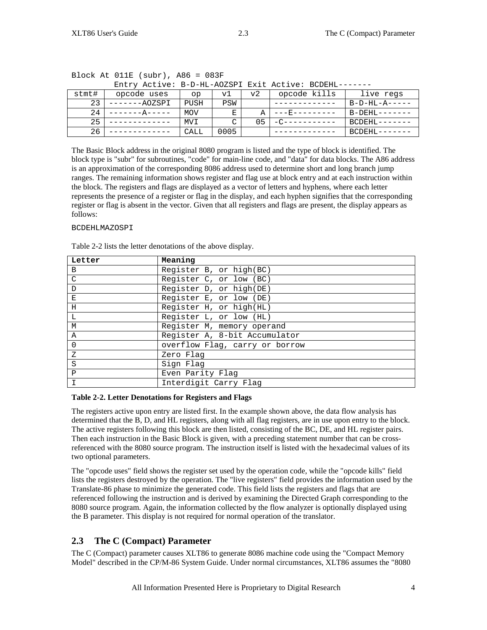| Entry Active: B-D-HL-AOZSPI Exit Active: BCDEHL------- |              |            |      |    |              |               |
|--------------------------------------------------------|--------------|------------|------|----|--------------|---------------|
| stmt#                                                  | opcode uses  | op         | v1   | v2 | opcode kills | live regs     |
| 23                                                     | ------AOZSPI | PUSH       | PSW  |    |              | $B-D-HL-A---$ |
| 24                                                     |              | <b>MOV</b> | Е    | А  | $---E------$ | B-DEHL-       |
| 25                                                     |              | MVI        | ⌒    | 05 | $-C---$      | BCDEHL-       |
| 26                                                     |              | CALL       | 0005 |    |              | BCDEHL-       |

| Block At $011E$ (subr), A86 = 083F |  |
|------------------------------------|--|
|------------------------------------|--|

The Basic Block address in the original 8080 program is listed and the type of block is identified. The block type is "subr" for subroutines, "code" for main-line code, and "data" for data blocks. The A86 address is an approximation of the corresponding 8086 address used to determine short and long branch jump ranges. The remaining information shows register and flag use at block entry and at each instruction within the block. The registers and flags are displayed as a vector of letters and hyphens, where each letter represents the presence of a register or flag in the display, and each hyphen signifies that the corresponding register or flag is absent in the vector. Given that all registers and flags are present, the display appears as follows:

#### BCDEHLMAZOSPI

Table 2-2 lists the letter denotations of the above display.

| Letter       | Meaning                        |
|--------------|--------------------------------|
| B            | Register B, or high(BC)        |
| C            | Register C, or low (BC)        |
| $\mathbf D$  | Register D, or high(DE)        |
| E            | Register E, or low (DE)        |
| H            | Register H, or high(HL)        |
| L            | Register L, or low (HL)        |
| М            | Register M, memory operand     |
| $\mathsf{A}$ | Register A, 8-bit Accumulator  |
| $\Omega$     | overflow Flag, carry or borrow |
| Z            | Zero Flag                      |
| S            | Sign Flag                      |
| $\mathbf{P}$ | Even Parity Flag               |
|              | Interdigit Carry Flag          |

#### **Table 2-2. Letter Denotations for Registers and Flags**

The registers active upon entry are listed first. In the example shown above, the data flow analysis has determined that the B, D, and HL registers, along with all flag registers, are in use upon entry to the block. The active registers following this block are then listed, consisting of the BC, DE, and HL register pairs. Then each instruction in the Basic Block is given, with a preceding statement number that can be crossreferenced with the 8080 source program. The instruction itself is listed with the hexadecimal values of its two optional parameters.

The "opcode uses" field shows the register set used by the operation code, while the "opcode kills" field lists the registers destroyed by the operation. The "live registers" field provides the information used by the Translate-86 phase to minimize the generated code. This field lists the registers and flags that are referenced following the instruction and is derived by examining the Directed Graph corresponding to the 8080 source program. Again, the information collected by the flow analyzer is optionally displayed using the B parameter. This display is not required for normal operation of the translator.

# **2.3 The C (Compact) Parameter**

The C (Compact) parameter causes XLT86 to generate 8086 machine code using the "Compact Memory Model" described in the CP/M-86 System Guide. Under normal circumstances, XLT86 assumes the "8080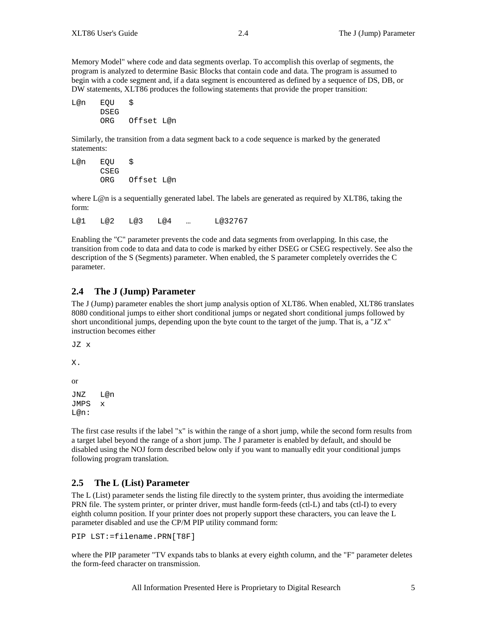Memory Model" where code and data segments overlap. To accomplish this overlap of segments, the program is analyzed to determine Basic Blocks that contain code and data. The program is assumed to begin with a code segment and, if a data segment is encountered as defined by a sequence of DS, DB, or DW statements, XLT86 produces the following statements that provide the proper transition:

L@n EQU \$ DSEG<br>ORG Offset L@n

Similarly, the transition from a data segment back to a code sequence is marked by the generated statements:

L@n EQU \$ CSEG<br>ORG Offset L@n

where L@n is a sequentially generated label. The labels are generated as required by XLT86, taking the form:

L@1 L@2 L@3 L@4 … L@32767

Enabling the "C" parameter prevents the code and data segments from overlapping. In this case, the transition from code to data and data to code is marked by either DSEG or CSEG respectively. See also the description of the S (Segments) parameter. When enabled, the S parameter completely overrides the C parameter.

# **2.4 The J (Jump) Parameter**

The J (Jump) parameter enables the short jump analysis option of XLT86. When enabled, XLT86 translates 8080 conditional jumps to either short conditional jumps or negated short conditional jumps followed by short unconditional jumps, depending upon the byte count to the target of the jump. That is, a "JZ x" instruction becomes either

JZ x

X.

or

JNZ L@n JMPS x  $Im@n:$ 

The first case results if the label "x" is within the range of a short jump, while the second form results from a target label beyond the range of a short jump. The J parameter is enabled by default, and should be disabled using the NOJ form described below only if you want to manually edit your conditional jumps following program translation.

# **2.5 The L (List) Parameter**

The L (List) parameter sends the listing file directly to the system printer, thus avoiding the intermediate PRN file. The system printer, or printer driver, must handle form-feeds (ctl-L) and tabs (ctl-I) to every eighth column position. If your printer does not properly support these characters, you can leave the L parameter disabled and use the CP/M PIP utility command form:

PIP LST:=filename.PRN[T8F]

where the PIP parameter "TV expands tabs to blanks at every eighth column, and the "F" parameter deletes the form-feed character on transmission.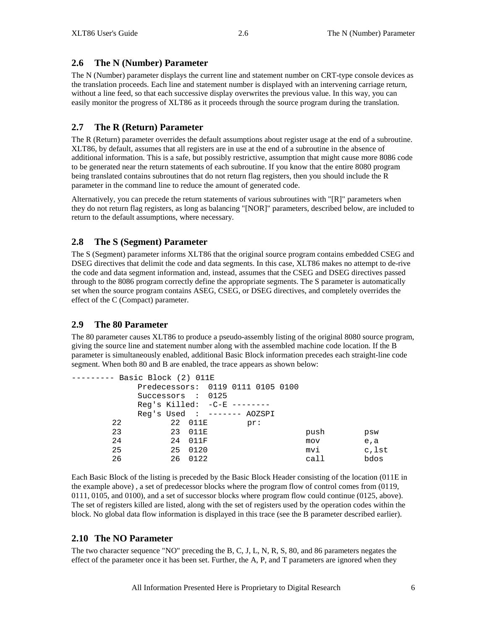# **2.6 The N (Number) Parameter**

The N (Number) parameter displays the current line and statement number on CRT-type console devices as the translation proceeds. Each line and statement number is displayed with an intervening carriage return, without a line feed, so that each successive display overwrites the previous value. In this way, you can easily monitor the progress of XLT86 as it proceeds through the source program during the translation.

# **2.7 The R (Return) Parameter**

The R (Return) parameter overrides the default assumptions about register usage at the end of a subroutine. XLT86, by default, assumes that all registers are in use at the end of a subroutine in the absence of additional information. This is a safe, but possibly restrictive, assumption that might cause more 8086 code to be generated near the return statements of each subroutine. If you know that the entire 8080 program being translated contains subroutines that do not return flag registers, then you should include the R parameter in the command line to reduce the amount of generated code.

Alternatively, you can precede the return statements of various subroutines with "[R]" parameters when they do not return flag registers, as long as balancing "[NOR]" parameters, described below, are included to return to the default assumptions, where necessary.

# **2.8 The S (Segment) Parameter**

The S (Segment) parameter informs XLT86 that the original source program contains embedded CSEG and DSEG directives that delimit the code and data segments. In this case, XLT86 makes no attempt to de-rive the code and data segment information and, instead, assumes that the CSEG and DSEG directives passed through to the 8086 program correctly define the appropriate segments. The S parameter is automatically set when the source program contains ASEG, CSEG, or DSEG directives, and completely overrides the effect of the C (Compact) parameter.

### **2.9 The 80 Parameter**

The 80 parameter causes XLT86 to produce a pseudo-assembly listing of the original 8080 source program, giving the source line and statement number along with the assembled machine code location. If the B parameter is simultaneously enabled, additional Basic Block information precedes each straight-line code segment. When both 80 and B are enabled, the trace appears as shown below:

```
--------- Basic Block (2) 011E
         Predecessors: 0119 0111 0105 0100
         Successors : 0125
         Reg's Killed: -C-E --------
         Reg's Used : ------- AOZSPI<br>22 011E pr:
     22 22 011E<br>23 23 011E
     23 23 011E push psw
     24 24 011F mov e, a
     25 25 0120 mvi c,lst
     26 26 0122 call bdos
```
Each Basic Block of the listing is preceded by the Basic Block Header consisting of the location (011E in the example above) , a set of predecessor blocks where the program flow of control comes from (0119, 0111, 0105, and 0100), and a set of successor blocks where program flow could continue (0125, above). The set of registers killed are listed, along with the set of registers used by the operation codes within the block. No global data flow information is displayed in this trace (see the B parameter described earlier).

### **2.10 The NO Parameter**

The two character sequence "NO" preceding the B, C, J, L, N, R, S, 80, and 86 parameters negates the effect of the parameter once it has been set. Further, the A, P, and T parameters are ignored when they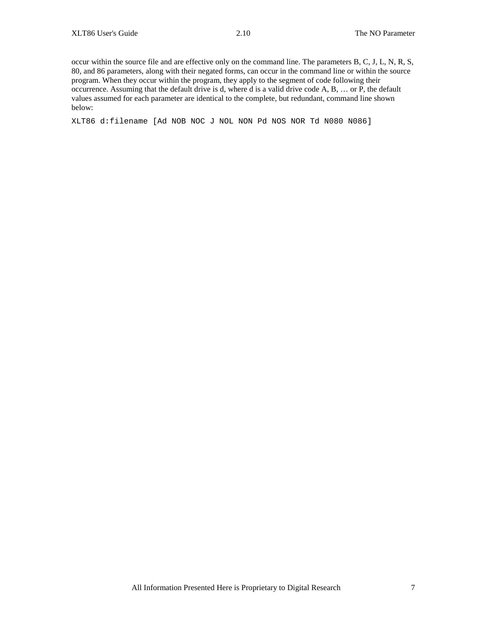occur within the source file and are effective only on the command line. The parameters B, C, J, L, N, R, S, 80, and 86 parameters, along with their negated forms, can occur in the command line or within the source program. When they occur within the program, they apply to the segment of code following their occurrence. Assuming that the default drive is d, where d is a valid drive code A, B, … or P, the default values assumed for each parameter are identical to the complete, but redundant, command line shown below:

XLT86 d:filename [Ad NOB NOC J NOL NON Pd NOS NOR Td N080 N086]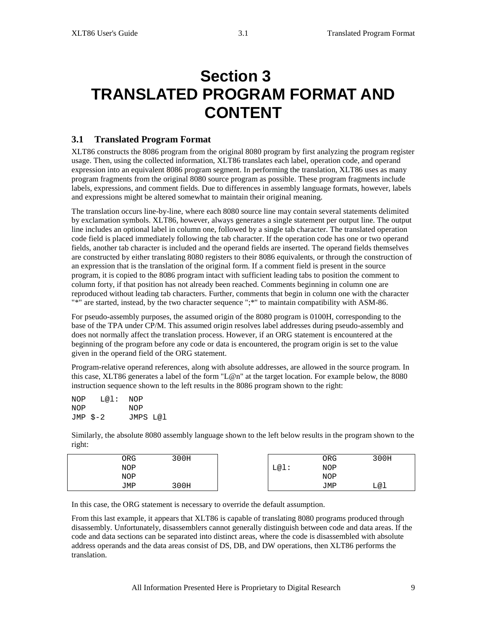# **Section 3 TRANSLATED PROGRAM FORMAT AND CONTENT**

# **3.1 Translated Program Format**

XLT86 constructs the 8086 program from the original 8080 program by first analyzing the program register usage. Then, using the collected information, XLT86 translates each label, operation code, and operand expression into an equivalent 8086 program segment. In performing the translation, XLT86 uses as many program fragments from the original 8080 source program as possible. These program fragments include labels, expressions, and comment fields. Due to differences in assembly language formats, however, labels and expressions might be altered somewhat to maintain their original meaning.

The translation occurs line-by-line, where each 8080 source line may contain several statements delimited by exclamation symbols. XLT86, however, always generates a single statement per output line. The output line includes an optional label in column one, followed by a single tab character. The translated operation code field is placed immediately following the tab character. If the operation code has one or two operand fields, another tab character is included and the operand fields are inserted. The operand fields themselves are constructed by either translating 8080 registers to their 8086 equivalents, or through the construction of an expression that is the translation of the original form. If a comment field is present in the source program, it is copied to the 8086 program intact with sufficient leading tabs to position the comment to column forty, if that position has not already been reached. Comments beginning in column one are reproduced without leading tab characters. Further, comments that begin in column one with the character "\*" are started, instead, by the two character sequence ";\*" to maintain compatibility with ASM-86.

For pseudo-assembly purposes, the assumed origin of the 8080 program is 0100H, corresponding to the base of the TPA under CP/M. This assumed origin resolves label addresses during pseudo-assembly and does not normally affect the translation process. However, if an ORG statement is encountered at the beginning of the program before any code or data is encountered, the program origin is set to the value given in the operand field of the ORG statement.

Program-relative operand references, along with absolute addresses, are allowed in the source program. In this case, XLT86 generates a label of the form "L@n" at the target location. For example below, the 8080 instruction sequence shown to the left results in the 8086 program shown to the right:

| NOP | $L@1:$ NOP |          |  |
|-----|------------|----------|--|
| NOP |            | NOP      |  |
|     | JMP \$-2   | JMPS L@l |  |

Similarly, the absolute 8080 assembly language shown to the left below results in the program shown to the right:

| 0RG | 300H |      | ORG | 300H |
|-----|------|------|-----|------|
| NOP |      | L@1: | NOP |      |
| NOP |      |      | NOP |      |
| JMP | 300H |      | JMP | L@l  |

In this case, the ORG statement is necessary to override the default assumption.

From this last example, it appears that XLT86 is capable of translating 8080 programs produced through disassembly. Unfortunately, disassemblers cannot generally distinguish between code and data areas. If the code and data sections can be separated into distinct areas, where the code is disassembled with absolute address operands and the data areas consist of DS, DB, and DW operations, then XLT86 performs the translation.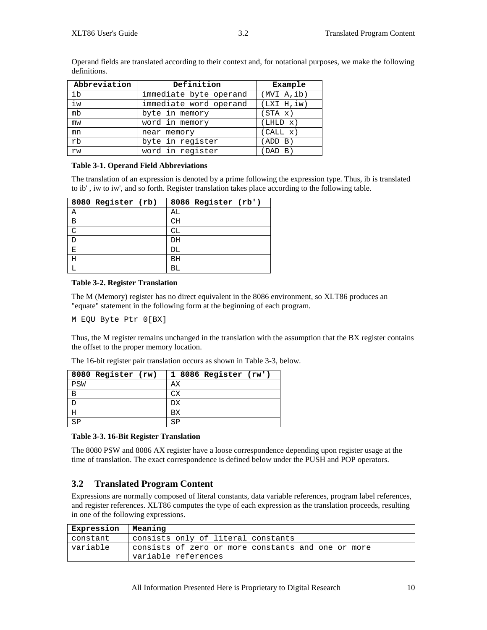| Abbreviation | Definition             | Example     |
|--------------|------------------------|-------------|
| ib           | immediate byte operand | (MVI A, ib) |
| iw           | immediate word operand | (LXI H, iw) |
| mb           | byte in memory         | (STA x)     |
| mw           | word in memory         | (LHLD x)    |
| mn           | near memory            | (CALL x)    |
| rb           | byte in register       | (ADD B)     |
| rw           | word in register       | (DAD B)     |

Operand fields are translated according to their context and, for notational purposes, we make the following definitions.

#### **Table 3-1. Operand Field Abbreviations**

The translation of an expression is denoted by a prime following the expression type. Thus, ib is translated to ib' , iw to iw', and so forth. Register translation takes place according to the following table.

| 8080 Register (rb) | 8086 Register (rb') |
|--------------------|---------------------|
| Α                  | AL                  |
| $\overline{B}$     | CH                  |
| $\cap$             | СL                  |
|                    | DH                  |
| Ε                  | DL                  |
| Η                  | BH                  |
|                    | ВL                  |

#### **Table 3-2. Register Translation**

The M (Memory) register has no direct equivalent in the 8086 environment, so XLT86 produces an "equate" statement in the following form at the beginning of each program.

M EQU Byte Ptr 0[BX]

Thus, the M register remains unchanged in the translation with the assumption that the BX register contains the offset to the proper memory location.

The 16-bit register pair translation occurs as shown in Table 3-3, below.

| 8080 Register (rw) | 1 8086 Register (rw') |
|--------------------|-----------------------|
| PSW                | АX                    |
| B                  | СX                    |
|                    | DХ                    |
|                    | вx                    |
|                    | SD                    |

#### **Table 3-3. 16-Bit Register Translation**

The 8080 PSW and 8086 AX register have a loose correspondence depending upon register usage at the time of translation. The exact correspondence is defined below under the PUSH and POP operators.

# **3.2 Translated Program Content**

Expressions are normally composed of literal constants, data variable references, program label references, and register references. XLT86 computes the type of each expression as the translation proceeds, resulting in one of the following expressions.

| Expression   Meaning |                                                    |
|----------------------|----------------------------------------------------|
| constant             | consists only of literal constants                 |
| variable             | consists of zero or more constants and one or more |
|                      | variable references                                |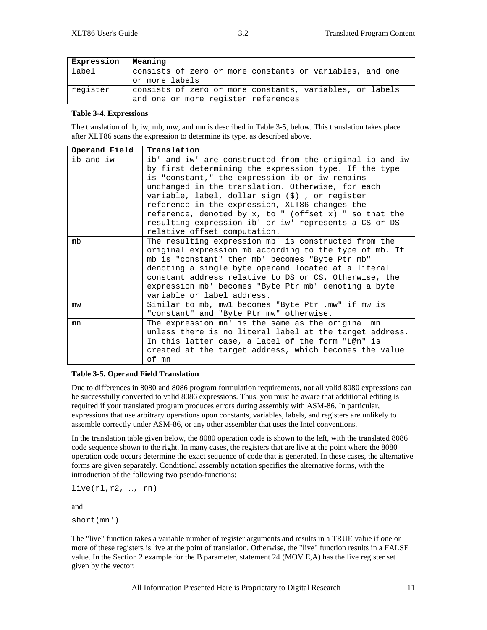| Expression   Meaning |                                                          |
|----------------------|----------------------------------------------------------|
| label                | consists of zero or more constants or variables, and one |
|                      | or more labels                                           |
| register             | consists of zero or more constants, variables, or labels |
|                      | and one or more register references                      |

#### **Table 3-4. Expressions**

The translation of ib, iw, mb, mw, and mn is described in Table 3-5, below. This translation takes place after XLT86 scans the expression to determine its type, as described above.

| Operand Field | Translation                                                                                                                                                                                                                                                                                                                                                                                                                                                                          |
|---------------|--------------------------------------------------------------------------------------------------------------------------------------------------------------------------------------------------------------------------------------------------------------------------------------------------------------------------------------------------------------------------------------------------------------------------------------------------------------------------------------|
| ib and iw     | ib' and iw' are constructed from the original ib and iw<br>by first determining the expression type. If the type<br>is "constant," the expression ib or iw remains<br>unchanged in the translation. Otherwise, for each<br>variable, label, dollar sign (\$), or register<br>reference in the expression, XLT86 changes the<br>reference, denoted by $x$ , to " (offset $x$ ) " so that the<br>resulting expression ib' or iw' represents a CS or DS<br>relative offset computation. |
| mb            | The resulting expression mb' is constructed from the<br>original expression mb according to the type of mb. If<br>mb is "constant" then mb' becomes "Byte Ptr mb"<br>denoting a single byte operand located at a literal<br>constant address relative to DS or CS. Otherwise, the<br>expression mb' becomes "Byte Ptr mb" denoting a byte<br>variable or label address.                                                                                                              |
| mw            | Similar to mb, mwl becomes "Byte Ptr .mw" if mw is<br>"constant" and "Byte Ptr mw" otherwise.                                                                                                                                                                                                                                                                                                                                                                                        |
| mn            | The expression mn' is the same as the original mn<br>unless there is no literal label at the target address.<br>In this latter case, a label of the form "L@n" is<br>created at the target address, which becomes the value<br>of mn                                                                                                                                                                                                                                                 |

#### **Table 3-5. Operand Field Translation**

Due to differences in 8080 and 8086 program formulation requirements, not all valid 8080 expressions can be successfully converted to valid 8086 expressions. Thus, you must be aware that additional editing is required if your translated program produces errors during assembly with ASM-86. In particular, expressions that use arbitrary operations upon constants, variables, labels, and registers are unlikely to assemble correctly under ASM-86, or any other assembler that uses the Intel conventions.

In the translation table given below, the 8080 operation code is shown to the left, with the translated 8086 code sequence shown to the right. In many cases, the registers that are live at the point where the 8080 operation code occurs determine the exact sequence of code that is generated. In these cases, the alternative forms are given separately. Conditional assembly notation specifies the alternative forms, with the introduction of the following two pseudo-functions:

live(rl,r2, …, rn)

and

short(mn')

The "live" function takes a variable number of register arguments and results in a TRUE value if one or more of these registers is live at the point of translation. Otherwise, the "live" function results in a FALSE value. In the Section 2 example for the B parameter, statement 24 (MOV E,A) has the live register set given by the vector: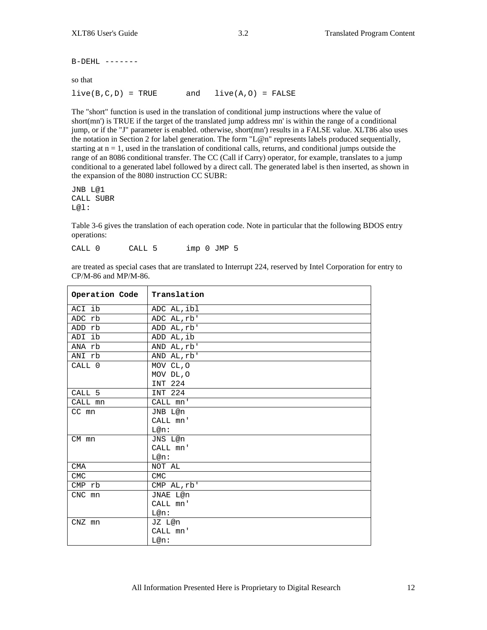$B-DEHL$  -------

so that

 $live(B,C,D) = TRUE$  and  $live(A,O) = FALSE$ 

The "short" function is used in the translation of conditional jump instructions where the value of short(mn') is TRUE if the target of the translated jump address mn' is within the range of a conditional jump, or if the "J" parameter is enabled. otherwise, short(mn') results in a FALSE value. XLT86 also uses the notation in Section 2 for label generation. The form "L@n" represents labels produced sequentially, starting at  $n = 1$ , used in the translation of conditional calls, returns, and conditional jumps outside the range of an 8086 conditional transfer. The CC (Call if Carry) operator, for example, translates to a jump conditional to a generated label followed by a direct call. The generated label is then inserted, as shown in the expansion of the 8080 instruction CC SUBR:

JNB L@1 CALL SUBR L@l:

Table 3-6 gives the translation of each operation code. Note in particular that the following BDOS entry operations:

CALL 0 CALL 5 imp 0 JMP 5

are treated as special cases that are translated to Interrupt 224, reserved by Intel Corporation for entry to CP/M-86 and MP/M-86.

| Operation Code    | Translation |
|-------------------|-------------|
| ACI ib            | ADC AL, ibl |
| ADC rb            | ADC AL, rb' |
| ADD rb            | ADD AL, rb' |
| ADI ib            | ADD AL, ib  |
| ANA rb            | AND AL, rb' |
| ANI rb            | AND AL, rb' |
| CALL 0            | MOV CL, O   |
|                   | MOV DL, O   |
|                   | INT 224     |
| CALL <sub>5</sub> | INT 224     |
| CALL mn           | CALL mn'    |
| CC mn             | JNB L@n     |
|                   | CALL mn'    |
|                   | $L@n$ :     |
| CM mn             | JNS L@n     |
|                   | CALL mn'    |
|                   | $L@n$ :     |
| <b>CMA</b>        | NOT AL      |
| <b>CMC</b>        | <b>CMC</b>  |
| CMP rb            | CMP AL, rb' |
| CNC mn            | JNAE L@n    |
|                   | CALL mn'    |
|                   | $L@n$ :     |
| $CNZ$ $mn$        | JZ L@n      |
|                   | CALL mn'    |
|                   | $L@n$ :     |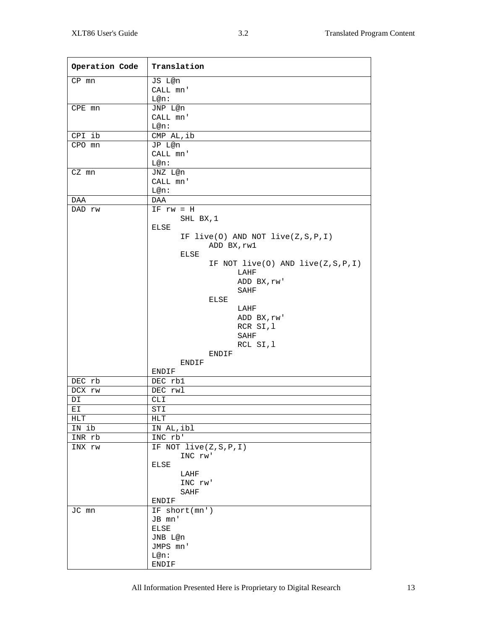| Operation Code | Translation                             |
|----------------|-----------------------------------------|
| $CP$ $mn$      | JS L@n                                  |
|                | CALL mn'                                |
|                | $L@n$ :                                 |
| $CPE$ mn       | JNP L@n                                 |
|                | CALL mn'                                |
|                | L@n:                                    |
| CPI ib         | CMP AL, ib                              |
| CPO mn         | JP L@n                                  |
|                | CALL mn'                                |
|                | $L@n$ :                                 |
| CZ mn          | JNZ L@n                                 |
|                | CALL mn'                                |
|                | L@n:                                    |
| DAA            | DAA                                     |
| DAD rw         | $IF$ $rw = H$                           |
|                | SHL BX, 1                               |
|                | ELSE                                    |
|                | IF $live(0)$ AND NOT $live(Z, S, P, I)$ |
|                | ADD BX, rw1                             |
|                | ELSE                                    |
|                | IF NOT $live(0)$ AND $live(Z, S, P, I)$ |
|                | LAHF                                    |
|                | ADD BX, rw'                             |
|                | SAHF                                    |
|                | ELSE                                    |
|                | LAHF                                    |
|                | ADD BX, rw'                             |
|                | RCR SI, 1                               |
|                | SAHF                                    |
|                | RCL SI, 1                               |
|                | ENDIF                                   |
|                | ENDIF<br>ENDIF                          |
| DEC rb         | DEC rb1                                 |
| DCX rw         | DEC rwl                                 |
|                |                                         |
| DI<br>ЕI       | CLI<br><b>STI</b>                       |
|                |                                         |
| HLT<br>IN ib   | ${\tt HLT}$<br>IN AL, ibl               |
| INR rb         | INC rb'                                 |
|                |                                         |
| INX rw         | IF NOT $live(Z,S,P,I)$                  |
|                | INC rw'<br>ELSE                         |
|                | LAHF                                    |
|                | INC rw'                                 |
|                | SAHF                                    |
|                | ENDIF                                   |
| JC mn          | IF short(mn')                           |
|                | JB mn'                                  |
|                | ELSE                                    |
|                | JNB L@n                                 |
|                | JMPS mn'                                |
|                | L@n:                                    |
|                | ENDIF                                   |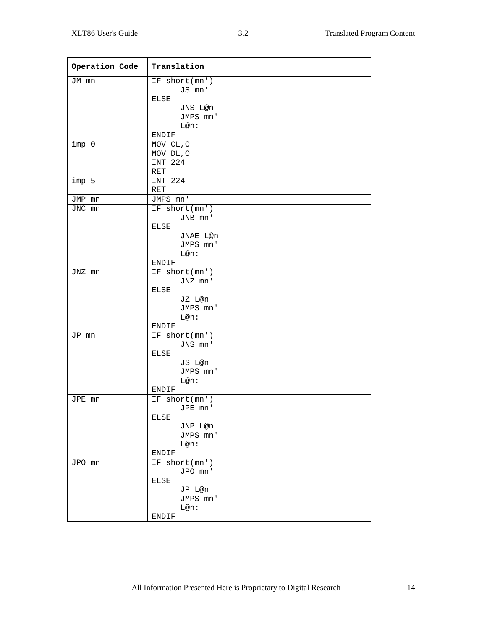| Operation Code | Translation            |
|----------------|------------------------|
| JM mn          | IF short(mn')          |
|                | JS mn'                 |
|                | ELSE                   |
|                | JNS L@n                |
|                | JMPS mn'               |
|                | L@n:                   |
|                | ENDIF                  |
| imp 0          | MOV CL, O              |
|                | MOV DL, O              |
|                | INT 224                |
|                | RET                    |
| imp 5          | INT 224                |
|                | RET                    |
| JMP mn         | JMPS mn'               |
| JNC mn         | IF short(mn')          |
|                | JNB mn'                |
|                | ELSE                   |
|                | JNAE L@n               |
|                | JMPS mn'               |
|                | $L@n$ :                |
|                | ENDIF<br>IF short(mn') |
| JNZ mn         | JNZ mn'                |
|                | ELSE                   |
|                | JZ L@n                 |
|                | JMPS mn'               |
|                | L@n:                   |
|                | ENDIF                  |
| JP mn          | IF short(mn')          |
|                | JNS mn'                |
|                | ELSE                   |
|                | JS L@n                 |
|                | JMPS mn'               |
|                | $L@n$ :                |
|                | ENDIF                  |
| JPE mn         | IF short(mn')          |
|                | JPE mn'                |
|                | ELSE                   |
|                | JNP L@n                |
|                | JMPS mn'               |
|                | $L@n$ :                |
|                | ENDIF                  |
| JPO mn         | IF short(mn')          |
|                | JPO mn'                |
|                | ELSE                   |
|                | JP L@n                 |
|                | JMPS mn'               |
|                | L@n:                   |
|                | ENDIF                  |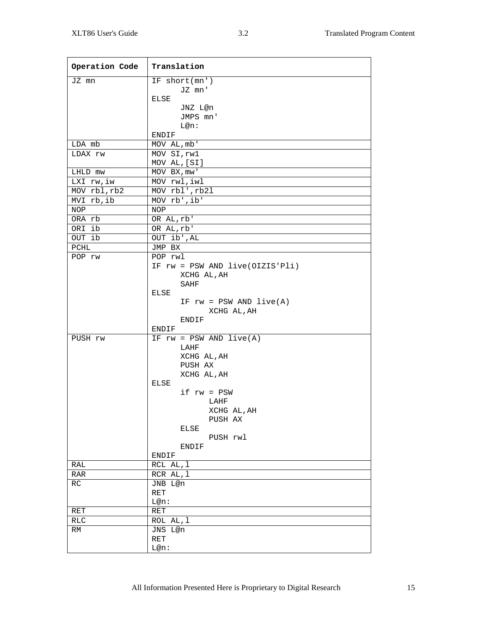| Operation Code | Translation                       |
|----------------|-----------------------------------|
| JZ mn          | IF short(mn')                     |
|                | JZ mn'                            |
|                | ELSE                              |
|                | JNZ L@n                           |
|                | JMPS mn'                          |
|                | L@n:                              |
|                | ENDIF                             |
| LDA mb         | MOV AL, mb'                       |
| LDAX rw        | MOV SI, rwl<br>MOV AL, [SI]       |
| LHLD mw        | MOV BX, mw'                       |
| LXI rw, iw     | MOV rwl, iwl                      |
| MOV rbl, rb2   | MOV rbl', rb21                    |
| MVI rb, ib     | MOV rb', ib'                      |
| NOP            | NOP                               |
| ORA rb         | OR AL, rb'                        |
| ORI ib         | OR AL, rb'                        |
| OUT ib         | OUT ib', AL                       |
| PCHL           | JMP BX                            |
| POP rw         | POP rwl                           |
|                | IF rw = PSW AND live(OIZIS'Pli)   |
|                | XCHG AL, AH                       |
|                | SAHF                              |
|                | ELSE<br>IF $rw = PSW AND live(A)$ |
|                | XCHG AL, AH                       |
|                | ENDIF                             |
|                | ENDIF                             |
| PUSH rw        | IF $rw = PSW AND live(A)$         |
|                | LAHF                              |
|                | XCHG AL, AH                       |
|                | PUSH AX                           |
|                | XCHG AL, AH                       |
|                | ELSE                              |
|                | $if$ $rw = PSW$                   |
|                | LAHF                              |
|                | XCHG AL, AH<br>PUSH AX            |
|                | ELSE                              |
|                | PUSH rwl                          |
|                | ENDIF                             |
|                | ENDIF                             |
| RAL            | RCL AL, 1                         |
| RAR            | RCR AL, 1                         |
| RC             | JNB L@n                           |
|                | RET                               |
|                | L@n:                              |
| RET            | RET                               |
| RLC            | ROL AL, 1                         |
| RM             | JNS L@n                           |
|                | RET                               |
|                | L@n:                              |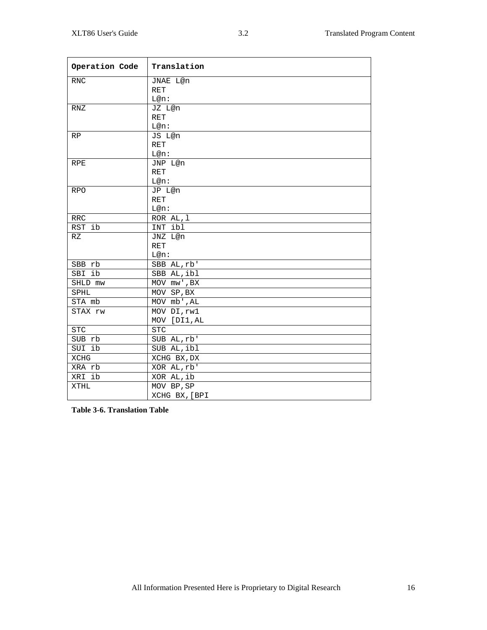| Operation Code | Translation                     |
|----------------|---------------------------------|
| <b>RNC</b>     | JNAE L@n                        |
|                | RET                             |
|                | L@n:                            |
| RNZ            | JZ L@n                          |
|                | <b>RET</b>                      |
|                | $L@n$ :                         |
| RP             | JS L@n                          |
|                | <b>RET</b>                      |
|                | L@n:                            |
| <b>RPE</b>     | JNP L@n                         |
|                | <b>RET</b>                      |
|                | $L@n$ :                         |
| <b>RPO</b>     | JP L@n                          |
|                | <b>RET</b>                      |
|                | L@n:                            |
| <b>RRC</b>     | ROR AL, 1                       |
| RST ib         | INT ibl                         |
| RZ             | JNZ L@n                         |
|                | <b>RET</b>                      |
|                | $L@n$ :                         |
| SBB rb         | SBB AL, rb'                     |
| SBI ib         | SBB AL, ibl                     |
| SHLD mw        | $\overline{\text{MOV}}$ mw', BX |
| <b>SPHL</b>    | MOV SP, BX                      |
| STA mb         | MOV mb', AL                     |
| STAX rw        | MOV DI, rw1                     |
|                | MOV [DI1, AL                    |
| <b>STC</b>     | STC                             |
| SUB rb         | SUB AL, rb'                     |
| SUI ib         | SUB AL, ibl                     |
| XCHG           | XCHG BX, DX                     |
| XRA rb         | XOR AL, rb'                     |
| XRI ib         | XOR AL, ib                      |
| XTHL           | MOV BP, SP                      |
|                | XCHG BX, [BPI                   |

**Table 3-6. Translation Table**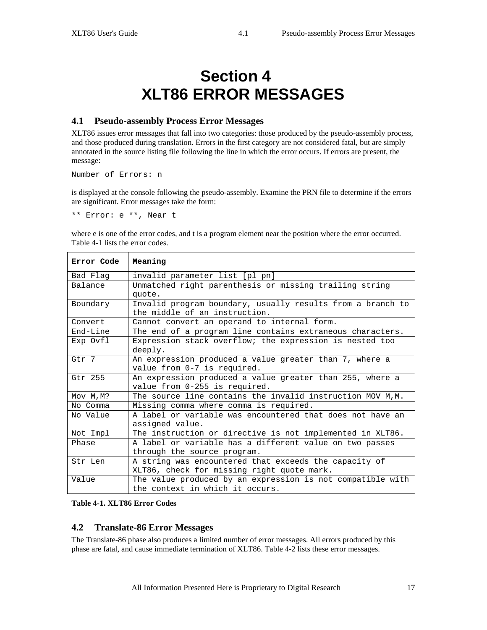# **Section 4 XLT86 ERROR MESSAGES**

# **4.1 Pseudo-assembly Process Error Messages**

XLT86 issues error messages that fall into two categories: those produced by the pseudo-assembly process, and those produced during translation. Errors in the first category are not considered fatal, but are simply annotated in the source listing file following the line in which the error occurs. If errors are present, the message:

Number of Errors: n

is displayed at the console following the pseudo-assembly. Examine the PRN file to determine if the errors are significant. Error messages take the form:

\*\* Error: e \*\*, Near t

where e is one of the error codes, and t is a program element near the position where the error occurred. Table 4-1 lists the error codes.

| Error Code | Meaning                                                                                     |
|------------|---------------------------------------------------------------------------------------------|
| Bad Flag   | invalid parameter list [pl pn]                                                              |
| Balance    | Unmatched right parenthesis or missing trailing string                                      |
|            | quote.                                                                                      |
| Boundary   | Invalid program boundary, usually results from a branch to<br>the middle of an instruction. |
| Convert    | Cannot convert an operand to internal form.                                                 |
| End-Line   | The end of a program line contains extraneous characters.                                   |
| Exp Ovfl   | Expression stack overflow; the expression is nested too                                     |
|            | deeply.                                                                                     |
| Gtr 7      | An expression produced a value greater than 7, where a                                      |
|            | value from 0-7 is required.                                                                 |
| Gtr 255    | An expression produced a value greater than 255, where a                                    |
|            | value from 0-255 is required.                                                               |
| Mov M, M?  | The source line contains the invalid instruction MOV M, M.                                  |
| No Comma   | Missing comma where comma is required.                                                      |
| No Value   | A label or variable was encountered that does not have an                                   |
|            | assigned value.                                                                             |
| Not Impl   | The instruction or directive is not implemented in XLT86.                                   |
| Phase      | A label or variable has a different value on two passes                                     |
|            | through the source program.                                                                 |
| Str Len    | A string was encountered that exceeds the capacity of                                       |
|            | XLT86, check for missing right quote mark.                                                  |
| Value      | The value produced by an expression is not compatible with                                  |
|            | the context in which it occurs.                                                             |

**Table 4-1. XLT86 Error Codes**

# **4.2 Translate-86 Error Messages**

The Translate-86 phase also produces a limited number of error messages. All errors produced by this phase are fatal, and cause immediate termination of XLT86. Table 4-2 lists these error messages.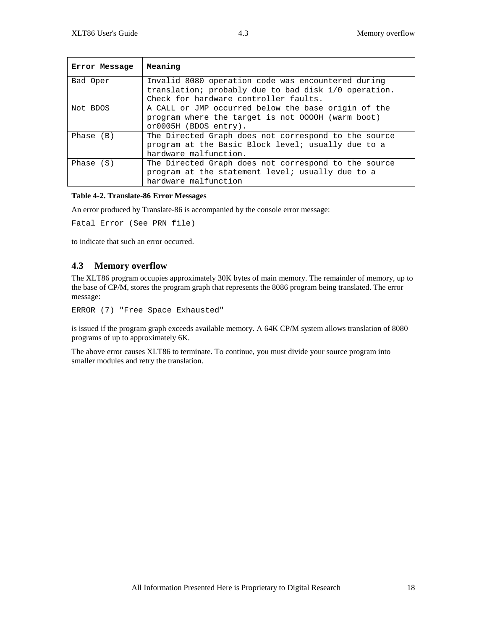| Error Message | Meaning                                                                                                                                             |
|---------------|-----------------------------------------------------------------------------------------------------------------------------------------------------|
| Bad Oper      | Invalid 8080 operation code was encountered during<br>translation; probably due to bad disk 1/0 operation.<br>Check for hardware controller faults. |
| Not BDOS      | A CALL or JMP occurred below the base origin of the<br>program where the target is not 0000H (warm boot)<br>or0005H (BDOS entry).                   |
| Phase $(B)$   | The Directed Graph does not correspond to the source<br>program at the Basic Block level; usually due to a<br>hardware malfunction.                 |
| Phase $(S)$   | The Directed Graph does not correspond to the source<br>program at the statement level; usually due to a<br>hardware malfunction                    |

#### **Table 4-2. Translate-86 Error Messages**

An error produced by Translate-86 is accompanied by the console error message:

```
Fatal Error (See PRN file)
```
to indicate that such an error occurred.

# **4.3 Memory overflow**

The XLT86 program occupies approximately 30K bytes of main memory. The remainder of memory, up to the base of CP/M, stores the program graph that represents the 8086 program being translated. The error message:

```
ERROR (7) "Free Space Exhausted"
```
is issued if the program graph exceeds available memory. A 64K CP/M system allows translation of 8080 programs of up to approximately 6K.

The above error causes XLT86 to terminate. To continue, you must divide your source program into smaller modules and retry the translation.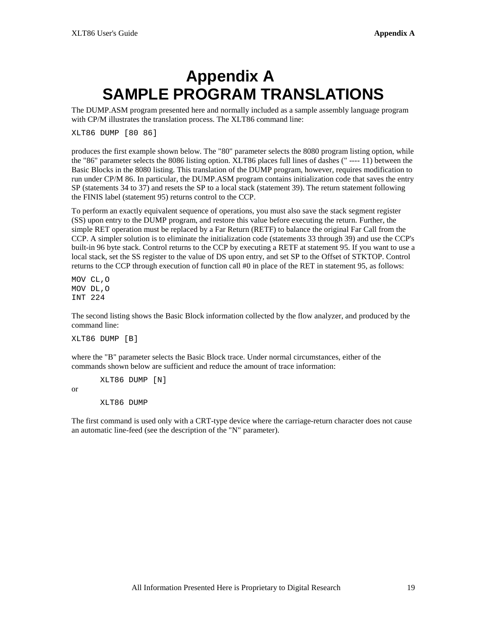# **Appendix A SAMPLE PROGRAM TRANSLATIONS**

The DUMP.ASM program presented here and normally included as a sample assembly language program with CP/M illustrates the translation process. The XLT86 command line:

XLT86 DUMP [80 86]

produces the first example shown below. The "80" parameter selects the 8080 program listing option, while the "86" parameter selects the 8086 listing option. XLT86 places full lines of dashes (" ---- 11) between the Basic Blocks in the 8080 listing. This translation of the DUMP program, however, requires modification to run under CP/M 86. In particular, the DUMP.ASM program contains initialization code that saves the entry SP (statements 34 to 37) and resets the SP to a local stack (statement 39). The return statement following the FINIS label (statement 95) returns control to the CCP.

To perform an exactly equivalent sequence of operations, you must also save the stack segment register (SS) upon entry to the DUMP program, and restore this value before executing the return. Further, the simple RET operation must be replaced by a Far Return (RETF) to balance the original Far Call from the CCP. A simpler solution is to eliminate the initialization code (statements 33 through 39) and use the CCP's built-in 96 byte stack. Control returns to the CCP by executing a RETF at statement 95. If you want to use a local stack, set the SS register to the value of DS upon entry, and set SP to the Offset of STKTOP. Control returns to the CCP through execution of function call #0 in place of the RET in statement 95, as follows:

MOV CL,O MOV DL,O INT 224

or

The second listing shows the Basic Block information collected by the flow analyzer, and produced by the command line:

XLT86 DUMP [B]

where the "B" parameter selects the Basic Block trace. Under normal circumstances, either of the commands shown below are sufficient and reduce the amount of trace information:

XLT86 DUMP [N] XLT86 DUMP

The first command is used only with a CRT-type device where the carriage-return character does not cause an automatic line-feed (see the description of the "N" parameter).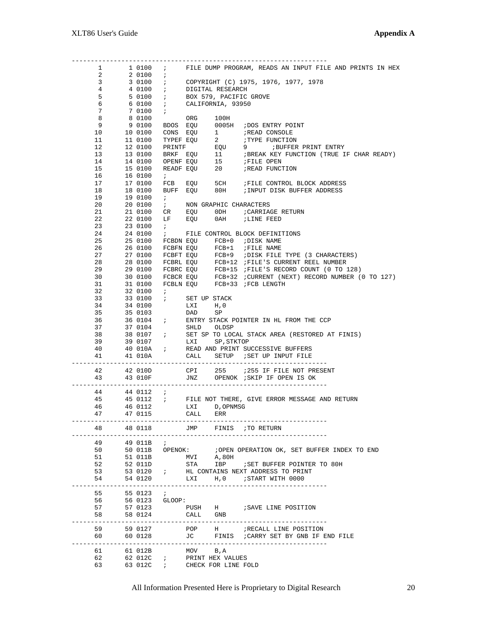|                 |        | 1 1 0 10 7                          |                                 |               |                                                   | FILE DUMP PROGRAM, READS AN INPUT FILE AND PRINTS IN HEX                                                                                                                                                                                   |
|-----------------|--------|-------------------------------------|---------------------------------|---------------|---------------------------------------------------|--------------------------------------------------------------------------------------------------------------------------------------------------------------------------------------------------------------------------------------------|
| $\mathbf{2}$    |        | 2 0100 ;                            |                                 |               |                                                   |                                                                                                                                                                                                                                            |
| 3 <sup>7</sup>  |        | 3 0100 ;                            |                                 |               |                                                   | COPYRIGHT (C) 1975, 1976, 1977, 1978                                                                                                                                                                                                       |
| $4\overline{ }$ |        | 4 0100 ;                            |                                 |               | DIGITAL RESEARCH                                  |                                                                                                                                                                                                                                            |
| 5               |        | 50100 i                             |                                 |               | BOX 579, PACIFIC GROVE                            |                                                                                                                                                                                                                                            |
| 6               |        | 6 0100                              | $\mathbf{r}$                    |               | CALIFORNIA, 93950                                 |                                                                                                                                                                                                                                            |
| 7               |        | 7 0100                              | $\mathbf{r}$                    |               |                                                   |                                                                                                                                                                                                                                            |
| 8               |        | 8 0100                              |                                 |               |                                                   |                                                                                                                                                                                                                                            |
| 9               |        | 9 0100                              | BDOS EQU                        |               |                                                   | ORG 100H<br>EQU 0005H ;DOS ENTRY POINT                                                                                                                                                                                                     |
| 10              |        | 10 0100                             |                                 |               |                                                   |                                                                                                                                                                                                                                            |
| 11              |        | 11 0100                             |                                 |               |                                                   | CONS EQU 1<br>TYPEF EQU 2 : TYPE FUNCTION<br>PRINTF EQU 9 : BUFFER PRINT ENTRY<br>BREAF EQU 11 : BREAK KEY FUNCTION (TRUE IF CHAR READY)<br>OPENF EQU 15 : FILE OPEN<br>READF EQU 15 : FILE OPEN<br>READF EQU 20 : READ FUNCTION           |
| 12              |        | 12 0100                             |                                 |               |                                                   |                                                                                                                                                                                                                                            |
| 13              |        | 13 0100                             |                                 |               |                                                   |                                                                                                                                                                                                                                            |
| 14              |        | 14 0100                             |                                 |               |                                                   |                                                                                                                                                                                                                                            |
|                 |        | 15 0100                             |                                 |               |                                                   |                                                                                                                                                                                                                                            |
| 15              |        |                                     |                                 |               |                                                   |                                                                                                                                                                                                                                            |
| 16              |        | 16 0100                             | $\mathcal{F}$                   |               |                                                   | FCB EQU 5CH FILE CONTROL BLOCK ADDRESS                                                                                                                                                                                                     |
| 17              |        | 17 0100                             |                                 |               |                                                   |                                                                                                                                                                                                                                            |
| 18              |        | 18 0100                             |                                 |               |                                                   | BUFF EQU 80H ; INPUT DISK BUFFER ADDRESS                                                                                                                                                                                                   |
| 19              |        | 19 0100                             | $\mathcal{L}$                   |               |                                                   |                                                                                                                                                                                                                                            |
| 20              |        | 20 0100                             | $\mathcal{F}$ and $\mathcal{F}$ |               | NON GRAPHIC CHARACTERS                            |                                                                                                                                                                                                                                            |
| 21              |        | 21 0100                             | CR                              |               |                                                   | EQU ODH ; CARRIAGE RETURN                                                                                                                                                                                                                  |
| 22              |        | 22 0100                             | LF                              |               |                                                   | EQU 0AH ;LINE FEED                                                                                                                                                                                                                         |
| 23              |        | 23 0100                             | $\mathbf{r}$                    |               |                                                   |                                                                                                                                                                                                                                            |
| 24              |        | 24 0100                             | $\mathcal{L}$                   |               |                                                   | FILE CONTROL BLOCK DEFINITIONS                                                                                                                                                                                                             |
| 25              |        |                                     |                                 |               |                                                   | 25 0100 FCBDN EQU FCB+0 ;DISK NAME                                                                                                                                                                                                         |
| 26              |        |                                     |                                 |               |                                                   | 26 0100 FCBFN EQU FCB+1 ;FILE NAME<br>27 0100 FCBFN EQU FCB+1 ;FILE NAME<br>27 0100 FCBFN EQU FCB+9 ;DISK FILE TYPE (3 CHARACTERS)<br>28 0100 FCBRL EQU FCB+12 ;FILE'S CURRENT REEL NUMBER<br>29 0100 FCBRC EQU FCB+15 ;FILE'S RECORD COUN |
| 27              |        |                                     |                                 |               |                                                   |                                                                                                                                                                                                                                            |
| 28              |        |                                     |                                 |               |                                                   |                                                                                                                                                                                                                                            |
| 29              |        |                                     |                                 |               |                                                   |                                                                                                                                                                                                                                            |
| $30 -$          |        |                                     |                                 |               |                                                   |                                                                                                                                                                                                                                            |
| 31              |        |                                     |                                 |               |                                                   |                                                                                                                                                                                                                                            |
| 32              |        | 32 0100 ;                           |                                 |               |                                                   |                                                                                                                                                                                                                                            |
| 33              |        | 33 0100 <i>i</i>                    |                                 | SET UP STACK  |                                                   |                                                                                                                                                                                                                                            |
| 34              |        | 34 0100                             |                                 | LXI H, O      |                                                   |                                                                                                                                                                                                                                            |
| 35              |        | 35 0103                             |                                 | DAD           | SP                                                |                                                                                                                                                                                                                                            |
| 36              |        |                                     |                                 |               |                                                   | 36 0104 : ENTRY STACK POINTER IN HL FROM THE CCP                                                                                                                                                                                           |
| 37              |        | 37 0104                             |                                 | SHLD OLDSP    |                                                   |                                                                                                                                                                                                                                            |
| 38              |        |                                     |                                 |               |                                                   | 38 0107 $\qquad$ ; SET SP TO LOCAL STACK AREA (RESTORED AT FINIS)                                                                                                                                                                          |
| 39              |        | 39 0107                             |                                 |               | LXI SP, STKTOP                                    |                                                                                                                                                                                                                                            |
| 40              |        |                                     |                                 |               |                                                   | 40 010A ; READ AND PRINT SUCCESSIVE BUFFERS                                                                                                                                                                                                |
| 41              |        |                                     |                                 |               |                                                   | 41 010A CALL SETUP ; SET UP INPUT FILE                                                                                                                                                                                                     |
|                 |        |                                     |                                 |               |                                                   |                                                                                                                                                                                                                                            |
|                 |        |                                     |                                 |               |                                                   |                                                                                                                                                                                                                                            |
|                 |        | ----------------------------------- |                                 |               |                                                   |                                                                                                                                                                                                                                            |
| 42              |        | 42 O1OD                             |                                 |               |                                                   | CPI 255 :255 IF FILE NOT PRESENT                                                                                                                                                                                                           |
| 43              |        | 43 010F                             |                                 |               |                                                   | JNZ OPENOK <i>;</i> SKIP IF OPEN IS OK                                                                                                                                                                                                     |
| . <i>.</i> .    |        |                                     |                                 |               |                                                   |                                                                                                                                                                                                                                            |
| 44              |        | 44 0112 ;                           |                                 |               |                                                   |                                                                                                                                                                                                                                            |
| 45              |        |                                     |                                 |               |                                                   |                                                                                                                                                                                                                                            |
| 46 — 10         |        |                                     |                                 |               |                                                   | 45 0112 $\cdot$ FILE NOT THERE, GIVE ERROR MESSAGE AND RETURN 46 0112 LXI D, OPNMSG                                                                                                                                                        |
| 47              |        | 47 0115                             |                                 | CALL ERR      |                                                   |                                                                                                                                                                                                                                            |
|                 |        |                                     |                                 |               |                                                   |                                                                                                                                                                                                                                            |
| 48              |        | 48 0118                             |                                 |               |                                                   | JMP FINIS TO RETURN                                                                                                                                                                                                                        |
|                 |        |                                     |                                 |               |                                                   |                                                                                                                                                                                                                                            |
| 49              |        | 49 011B                             | $\mathbf{r}$                    |               |                                                   |                                                                                                                                                                                                                                            |
| 50              |        |                                     |                                 |               |                                                   | 50 011B OPENOK: : : OPEN OPERATION OK, SET BUFFER INDEX TO END                                                                                                                                                                             |
| 51              |        | 51 011B                             |                                 |               |                                                   |                                                                                                                                                                                                                                            |
| 52              |        | 52 011D                             |                                 |               |                                                   | MVI A,80H<br>STA IBP <i>;</i> SET BUFFER POINTER TO 80H                                                                                                                                                                                    |
| 53              |        | 53 0120 <i>;</i>                    |                                 |               |                                                   | HL CONTAINS NEXT ADDRESS TO PRINT                                                                                                                                                                                                          |
| 54              |        | 54 0120                             |                                 | LXI           | H, 0                                              | START WITH 0000                                                                                                                                                                                                                            |
|                 | ------ |                                     |                                 |               |                                                   |                                                                                                                                                                                                                                            |
| 55              |        | 55 0123                             | $\overline{\phantom{a}}$        |               |                                                   |                                                                                                                                                                                                                                            |
| 56              |        | 56 0123 GLOOP:                      |                                 |               |                                                   |                                                                                                                                                                                                                                            |
| 57              |        | 57 0123                             |                                 |               |                                                   | PUSH H : SAVE LINE POSITION                                                                                                                                                                                                                |
| 58              |        | 58 0124                             |                                 | CALL GNB      |                                                   |                                                                                                                                                                                                                                            |
|                 |        |                                     |                                 |               |                                                   |                                                                                                                                                                                                                                            |
| 59              |        | 59 0127                             |                                 |               |                                                   |                                                                                                                                                                                                                                            |
| 60              |        | 60 0128                             |                                 |               |                                                   |                                                                                                                                                                                                                                            |
|                 | -----  |                                     | ------------                    | $\frac{1}{2}$ |                                                   | ----------------------------                                                                                                                                                                                                               |
| 61              |        | 61 012B                             |                                 | MOV B, A      |                                                   |                                                                                                                                                                                                                                            |
| 62<br>63        |        | 63 012C ;                           |                                 |               | 62 012C : PRINT HEX VALUES<br>CHECK FOR LINE FOLD |                                                                                                                                                                                                                                            |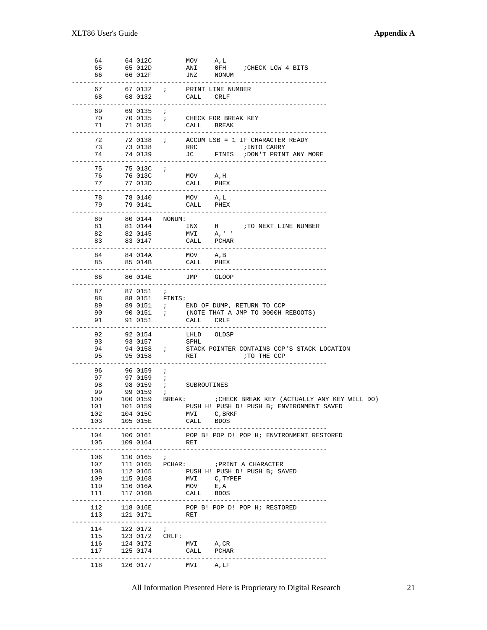| 64  |               | 64 012C           |              | MOV A, L              |                     |                                                                                                                                                                  |  |
|-----|---------------|-------------------|--------------|-----------------------|---------------------|------------------------------------------------------------------------------------------------------------------------------------------------------------------|--|
|     |               |                   |              |                       |                     |                                                                                                                                                                  |  |
| 65  |               | 65 012D           |              | ANI                   |                     | OFH : CHECK LOW 4 BITS                                                                                                                                           |  |
| 66  |               | 66 012F           |              | JNZ NONUM             |                     |                                                                                                                                                                  |  |
|     |               |                   |              |                       |                     |                                                                                                                                                                  |  |
|     |               |                   |              |                       |                     |                                                                                                                                                                  |  |
| 67  |               | 67 0132 ;         |              |                       | PRINT LINE NUMBER   |                                                                                                                                                                  |  |
| 68  |               | 68 0132           |              | CALL CRLF             |                     |                                                                                                                                                                  |  |
|     |               |                   |              |                       |                     |                                                                                                                                                                  |  |
|     |               |                   |              |                       |                     |                                                                                                                                                                  |  |
| 69  |               | 69 0135           | $\mathbf{r}$ |                       |                     |                                                                                                                                                                  |  |
| 70  |               | 70 0135 ;         |              |                       | CHECK FOR BREAK KEY |                                                                                                                                                                  |  |
| 71  |               | 71 0135           |              | CALL BREAK            |                     |                                                                                                                                                                  |  |
|     |               |                   |              |                       |                     |                                                                                                                                                                  |  |
|     |               |                   |              |                       |                     |                                                                                                                                                                  |  |
| 72  |               | 72 0138 ;         |              |                       |                     | ACCUM LSB = 1 IF CHARACTER READY                                                                                                                                 |  |
| 73  |               | 73 0138           |              | RRC                   |                     | ;INTO CARRY                                                                                                                                                      |  |
|     |               |                   |              |                       |                     |                                                                                                                                                                  |  |
| 74  |               | 74 0139           |              |                       |                     | JC FINIS ; DON'T PRINT ANY MORE                                                                                                                                  |  |
|     |               |                   |              |                       |                     |                                                                                                                                                                  |  |
| 75  |               | 75 013C ;         |              |                       |                     |                                                                                                                                                                  |  |
|     |               |                   |              |                       |                     |                                                                                                                                                                  |  |
| 76  |               | 76 013C           |              | MOV                   | A,H                 |                                                                                                                                                                  |  |
| 77  |               | 77 013D           |              | CALL PHEX             |                     |                                                                                                                                                                  |  |
|     |               |                   |              |                       |                     |                                                                                                                                                                  |  |
| 78  |               | 78 0140           |              |                       |                     |                                                                                                                                                                  |  |
|     |               |                   |              | MOV A, L              |                     |                                                                                                                                                                  |  |
| 79  |               | 79 0141           |              | CALL                  | PHEX                |                                                                                                                                                                  |  |
|     | - - - - - - - |                   |              |                       |                     |                                                                                                                                                                  |  |
| 80  |               | 80 0144 NONUM:    |              |                       |                     |                                                                                                                                                                  |  |
|     |               |                   |              |                       |                     |                                                                                                                                                                  |  |
| 81  |               |                   |              |                       |                     |                                                                                                                                                                  |  |
| 82  |               |                   |              |                       |                     | 81 0144 $\begin{array}{ccc} \texttt{INX} & \texttt{H} & \texttt{.7TO NEXT LINE NUMBER} \\ \texttt{82 0145} & \texttt{MVI} & \texttt{A}, \texttt{.'} \end{array}$ |  |
| 83  |               | 83 0147           |              | CALL PCHAR            |                     |                                                                                                                                                                  |  |
|     |               |                   |              |                       |                     |                                                                                                                                                                  |  |
|     |               |                   |              |                       |                     |                                                                                                                                                                  |  |
| 84  |               | 84 O14A           |              | MOV A, B              |                     |                                                                                                                                                                  |  |
| 85  |               | 85 O14B           |              | CALL                  | PHEX                |                                                                                                                                                                  |  |
|     |               |                   |              |                       |                     |                                                                                                                                                                  |  |
|     |               |                   |              |                       |                     |                                                                                                                                                                  |  |
| 86  |               | 86 O14E           |              | JMP                   | GLOOP               |                                                                                                                                                                  |  |
|     |               |                   |              |                       |                     |                                                                                                                                                                  |  |
| 87  |               | 87 0151           | $\cdot$      |                       |                     |                                                                                                                                                                  |  |
|     |               |                   |              |                       |                     |                                                                                                                                                                  |  |
| 88  |               | 88 0151    FINIS: |              |                       |                     |                                                                                                                                                                  |  |
| 89  |               |                   |              |                       |                     | 89 0151 ; END OF DUMP, RETURN TO CCP                                                                                                                             |  |
| 90  |               |                   |              |                       |                     | 90 0151 $\qquad$ (NOTE THAT A JMP TO 0000H REBOOTS)                                                                                                              |  |
|     |               |                   |              |                       |                     |                                                                                                                                                                  |  |
| 91  |               | 91 0151           |              | CALL                  | CRLF                |                                                                                                                                                                  |  |
|     |               |                   |              |                       |                     |                                                                                                                                                                  |  |
| 92  |               | 92 0154           |              | LHLD                  | OLDSP               |                                                                                                                                                                  |  |
| 93  |               |                   |              |                       |                     |                                                                                                                                                                  |  |
|     |               | 93 0157           |              | SPHL                  |                     |                                                                                                                                                                  |  |
|     |               |                   |              |                       |                     |                                                                                                                                                                  |  |
| 94  |               | 94 0158 ;         |              |                       |                     | STACK POINTER CONTAINS CCP'S STACK LOCATION                                                                                                                      |  |
| 95  |               |                   |              |                       |                     |                                                                                                                                                                  |  |
|     |               | 95 0158           |              | RET                   |                     | TO THE CCP                                                                                                                                                       |  |
|     |               |                   |              |                       |                     |                                                                                                                                                                  |  |
| 96  |               | 96 0159           | $\cdot$ :    |                       |                     |                                                                                                                                                                  |  |
| 97  |               | 97 0159 <i>;</i>  |              |                       |                     |                                                                                                                                                                  |  |
|     |               |                   |              |                       |                     |                                                                                                                                                                  |  |
| 98  |               |                   |              | 98 0159 ; SUBROUTINES |                     |                                                                                                                                                                  |  |
| 99  |               | 99 0159           | $\mathbf{r}$ |                       |                     |                                                                                                                                                                  |  |
| 100 |               |                   |              |                       |                     | 100 0159 BREAK: : CHECK BREAK KEY (ACTUALLY ANY KEY WILL DO)                                                                                                     |  |
| 101 |               |                   |              |                       |                     | 101 0159 PUSH H! PUSH D! PUSH B; ENVIRONMENT SAVED                                                                                                               |  |
|     |               |                   |              |                       |                     |                                                                                                                                                                  |  |
| 102 |               | 104 015C          |              | MVI C, BRKF           |                     |                                                                                                                                                                  |  |
| 103 |               | 105 015E          |              | CALL                  | BDOS                |                                                                                                                                                                  |  |
|     |               |                   |              |                       |                     |                                                                                                                                                                  |  |
|     |               |                   |              |                       |                     |                                                                                                                                                                  |  |
| 104 |               | 106 0161          |              |                       |                     | POP B! POP D! POP H; ENVIRONMENT RESTORED                                                                                                                        |  |
| 105 |               | 109 0164          |              | RET                   |                     |                                                                                                                                                                  |  |
|     | $\frac{1}{2}$ |                   |              |                       |                     |                                                                                                                                                                  |  |
| 106 |               | 110 0165          | $\ddot{i}$   |                       |                     |                                                                                                                                                                  |  |
|     |               |                   |              |                       |                     |                                                                                                                                                                  |  |
| 107 |               |                   |              |                       |                     | 111 0165 PCHAR: ; PRINT A CHARACTER                                                                                                                              |  |
| 108 |               | 112 0165          |              |                       |                     | PUSH H! PUSH D! PUSH B; SAVED                                                                                                                                    |  |
| 109 |               | 115 0168          |              | MVI                   | C,TYPEF             |                                                                                                                                                                  |  |
|     |               |                   |              |                       |                     |                                                                                                                                                                  |  |
| 110 |               | 116 016A          |              | $MOV$ E, A            |                     |                                                                                                                                                                  |  |
| 111 |               | 117 016B          |              | CALL BDOS             |                     |                                                                                                                                                                  |  |
|     |               |                   |              |                       |                     |                                                                                                                                                                  |  |
|     |               |                   |              |                       |                     |                                                                                                                                                                  |  |
| 112 |               | 118 016E          |              |                       |                     | POP B! POP D! POP H; RESTORED                                                                                                                                    |  |
| 113 |               | 121 0171          |              | RET                   |                     |                                                                                                                                                                  |  |
|     | -------       |                   |              |                       |                     |                                                                                                                                                                  |  |
| 114 |               | 122 0172          | $\cdot$ :    |                       |                     |                                                                                                                                                                  |  |
|     |               |                   |              |                       |                     |                                                                                                                                                                  |  |
| 115 |               | 123 0172 CRLF:    |              |                       |                     |                                                                                                                                                                  |  |
| 116 |               | 124 0172          |              | MVI                   | A, CR               |                                                                                                                                                                  |  |
| 117 |               | 125 0174          |              | CALL PCHAR            |                     |                                                                                                                                                                  |  |
|     |               |                   |              |                       |                     |                                                                                                                                                                  |  |
|     |               | 118 126 0177      |              | MVI A,LF              |                     |                                                                                                                                                                  |  |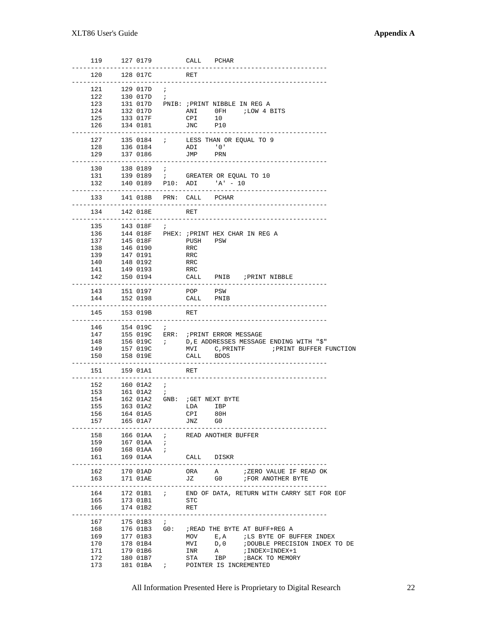| 119                                           | 127 0179                                                                                                                                      | CALL<br>PCHAR                                                                                                                                                                                                                                                                                  |
|-----------------------------------------------|-----------------------------------------------------------------------------------------------------------------------------------------------|------------------------------------------------------------------------------------------------------------------------------------------------------------------------------------------------------------------------------------------------------------------------------------------------|
| 120                                           | 128 017C                                                                                                                                      | RET                                                                                                                                                                                                                                                                                            |
| 121<br>122<br>123<br>124<br>125               | 129 O17D<br>$\cdot$ ;<br>130 O17D<br>$\cdot$ i<br>132 O17D<br>133 017F                                                                        | 131 017D PNIB: ; PRINT NIBBLE IN REG A<br>LOW 4 BITS<br>ANI<br>0FH.<br>CPI<br>10                                                                                                                                                                                                               |
| 126                                           | 134 0181                                                                                                                                      | JNC<br>P10                                                                                                                                                                                                                                                                                     |
| 127<br>128<br>129                             | 135 0184 ;<br>136 0184<br>137 0186                                                                                                            | LESS THAN OR EQUAL TO 9<br>ADI '0'<br>JMP<br>PRN                                                                                                                                                                                                                                               |
| 130<br>131<br>132                             | 138 0189 ;<br>140 0189 P10: ADI                                                                                                               | 139 0189 ; GREATER OR EQUAL TO 10<br>$'A' - 10$                                                                                                                                                                                                                                                |
| 133                                           | 141 018B PRN: CALL PCHAR                                                                                                                      |                                                                                                                                                                                                                                                                                                |
| 134                                           | 142 018E                                                                                                                                      | RET                                                                                                                                                                                                                                                                                            |
| 135<br>136<br>137<br>138<br>139<br>140<br>141 | 143 O18F<br>÷<br>145 018F<br>146 0190<br>147 0191<br>148 0192<br>149 0193                                                                     | 144 018F PHEX: ; PRINT HEX CHAR IN REG A<br>PSW<br>PUSH<br>RRC<br>RRC<br>RRC<br>RRC                                                                                                                                                                                                            |
| 142                                           | 150 0194                                                                                                                                      | CALL PNIB ; PRINT NIBBLE                                                                                                                                                                                                                                                                       |
| 143<br>144                                    | 151 0197<br>152 0198                                                                                                                          | POP<br>PSW<br>CALL<br>PNIB                                                                                                                                                                                                                                                                     |
| 145                                           | 153 019B                                                                                                                                      | RET                                                                                                                                                                                                                                                                                            |
| 146<br>147<br>148<br>149<br>150               | 154 019C<br>$\cdot$ $\cdot$<br>156 019C ;<br>157 019C<br>158 019E                                                                             | 155 019C ERR: ; PRINT ERROR MESSAGE<br>D, E ADDRESSES MESSAGE ENDING WITH "\$"<br>MVI C, PRINTF : PRINT BUFFER FUNCTION<br>CALL<br>BDOS                                                                                                                                                        |
| 151                                           | 159 01A1                                                                                                                                      | RET                                                                                                                                                                                                                                                                                            |
| 152<br>153<br>154<br>155<br>156<br>157        | $- - - - - -$<br>160 O1A2<br>$\cdot$ $\cdot$<br>161 01A2<br>$\mathbf{r}$<br>162 01A2 GNB: ; GET NEXT BYTE<br>163 01A2<br>164 01A5<br>165 01A7 | LDA<br>IBP<br>CPI<br>80H<br>JNZ<br>G0                                                                                                                                                                                                                                                          |
| 158<br>159<br>160<br>161                      | 166 01AA<br>$\mathbf{r}$<br>167 O1AA<br>$\cdot$ ;<br>168 01AA ;<br>169 01AA                                                                   | READ ANOTHER BUFFER<br>CALL DISKR                                                                                                                                                                                                                                                              |
| 162<br>163                                    | 170 01AD<br>171 01AE                                                                                                                          | ORA<br>A<br>;ZERO VALUE IF READ OK<br>JZ<br>G0 and the set of the set of the set of the set of the set of the set of the set of the set of the set of the set of the set of the set of the set of the set of the set of the set of the set of the set of the set of the se<br>FOR ANOTHER BYTE |
| 164<br>165<br>166                             | $172$ $01B1$ ;<br>173 01B1<br>174 01B2                                                                                                        | END OF DATA, RETURN WITH CARRY SET FOR EOF<br>STC<br>RET                                                                                                                                                                                                                                       |
| 167<br>168<br>169<br>170<br>171<br>172<br>173 | $\mathbf{r}$<br>175 01B3<br>176 01B3 G0:<br>177 01B3<br>178 01B4<br>179 01B6<br>180 O1B7<br>181 01BA<br>$\mathcal{L}$ , $\mathcal{L}$         | ; READ THE BYTE AT BUFF+REG A<br>$\boldsymbol{\mathrm{E}}$ , $\boldsymbol{\mathrm{A}}$<br><i>ILS BYTE OF BUFFER INDEX</i><br>MOV<br>D, 0<br>; DOUBLE PRECISION INDEX TO DE<br>MVI<br>INR<br>$\mathbf{A}$<br>; INDEX=INDEX+1<br>STA<br>IBP<br>; BACK TO MEMORY<br>POINTER IS INCREMENTED        |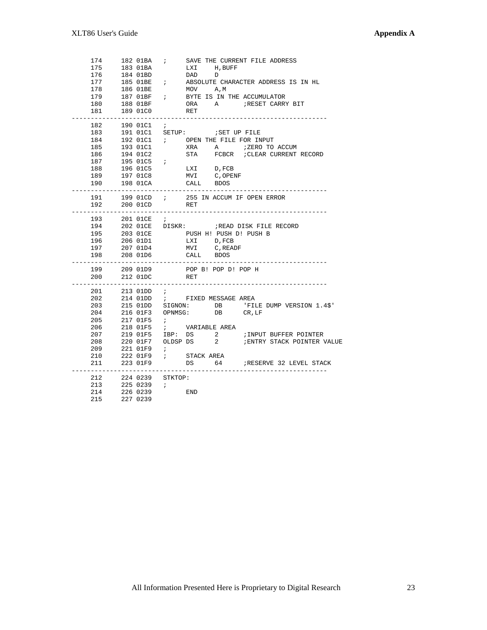| 174<br>175            |             | 182 01BA<br>183 01BA    | $\mathbf{i}$ | LXI H, BUFF                                |                               | SAVE THE CURRENT FILE ADDRESS                                                                                                                                                                                                                                                                                           |
|-----------------------|-------------|-------------------------|--------------|--------------------------------------------|-------------------------------|-------------------------------------------------------------------------------------------------------------------------------------------------------------------------------------------------------------------------------------------------------------------------------------------------------------------------|
| 176                   |             | 184 01BD                |              | DAD                                        | $\Box$                        |                                                                                                                                                                                                                                                                                                                         |
| 177                   |             | 185 O1BE ;              |              |                                            |                               | ABSOLUTE CHARACTER ADDRESS IS IN HL                                                                                                                                                                                                                                                                                     |
| 178                   |             |                         |              |                                            |                               |                                                                                                                                                                                                                                                                                                                         |
|                       |             |                         |              |                                            |                               |                                                                                                                                                                                                                                                                                                                         |
| 179                   |             |                         |              |                                            |                               |                                                                                                                                                                                                                                                                                                                         |
| 180                   |             |                         |              |                                            |                               | $\begin{tabular}{lllllllllll} 186 & 01BE & & & & & & & & & & & & \\ 187 & 01BF & & & & & & & & & & \\ 188 & 01BF & & & & & & & & & & \\ 188 & 01BF & & & & & & & & & & \\ \end{tabular} \hspace{2cm} \begin{tabular}{lllllllllll} \bf 187 & 01BE & & & & & & & & \\ 188 & 01BF & & & & & & & & \\ \hline \end{tabular}$ |
| 181                   | $- - - - -$ | 189 01C0                |              | RET                                        |                               |                                                                                                                                                                                                                                                                                                                         |
| 182                   |             | 190 01C1                | $\ddot{i}$   |                                            |                               |                                                                                                                                                                                                                                                                                                                         |
| 183                   |             |                         |              |                                            | 191 O1C1 SETUP: : SET UP FILE |                                                                                                                                                                                                                                                                                                                         |
| 184                   |             |                         |              |                                            |                               | 192 O1C1 $\qquad$ ; OPEN THE FILE FOR INPUT                                                                                                                                                                                                                                                                             |
| 185                   |             | 193 01C1                |              |                                            |                               | XRA A <i>;</i> ZERO TO ACCUM                                                                                                                                                                                                                                                                                            |
| 186                   |             | 194 01C2                |              |                                            |                               | STA FCBCR ; CLEAR CURRENT RECORD                                                                                                                                                                                                                                                                                        |
| 187                   |             | 195 01C5 ;              |              |                                            |                               |                                                                                                                                                                                                                                                                                                                         |
| 188                   |             | 19601C5                 |              |                                            |                               |                                                                                                                                                                                                                                                                                                                         |
| 189                   |             | 197 01C8                |              | $LXI$ D, FCB<br>MVI                        | C,OPENF                       |                                                                                                                                                                                                                                                                                                                         |
| 190                   |             | 198 01CA                |              | CALL BDOS                                  |                               |                                                                                                                                                                                                                                                                                                                         |
|                       |             |                         |              |                                            |                               |                                                                                                                                                                                                                                                                                                                         |
| 191                   |             |                         |              |                                            |                               | 199 O1CD ; 255 IN ACCUM IF OPEN ERROR                                                                                                                                                                                                                                                                                   |
| 192                   |             | 200 01CD                |              | RET                                        |                               |                                                                                                                                                                                                                                                                                                                         |
|                       |             | -----------             |              |                                            |                               |                                                                                                                                                                                                                                                                                                                         |
| 193                   |             |                         |              |                                            |                               |                                                                                                                                                                                                                                                                                                                         |
| 194                   |             |                         |              |                                            |                               | 201 01CE $\begin{array}{ccc} i & i \ 202 & 01CE & 01SK : 010E & 01SK : 010E & 010K & 010K & 010K & 010K & 010K & 010K & 010K & 010K & 010K & 010K & 010K & 010K & 010K & 010K & 010K & 010K & 010K & 010K & 010K & 010K & 010K & 010K & 010K & 010K & 010K & 010K & 010K & 010K &$                                      |
| 195                   |             | 203 01CE                |              |                                            |                               | PUSH H! PUSH D! PUSH B                                                                                                                                                                                                                                                                                                  |
| 196                   |             | 206 O1D1                |              | LXI D, FCB                                 |                               |                                                                                                                                                                                                                                                                                                                         |
| 197                   |             | 207 01D4                |              |                                            | MVI C, READF                  |                                                                                                                                                                                                                                                                                                                         |
|                       |             | 208 01D6                |              | CALL BDOS                                  |                               |                                                                                                                                                                                                                                                                                                                         |
| 198                   |             |                         |              | -------------                              |                               |                                                                                                                                                                                                                                                                                                                         |
|                       |             | . _ _ _ _ _ _ _ _ _ _ _ |              |                                            |                               |                                                                                                                                                                                                                                                                                                                         |
| 199                   |             | 209 01D9                |              |                                            | POP B! POP D! POP H           |                                                                                                                                                                                                                                                                                                                         |
| 200<br>-------------- |             | 212 01DC                | RET          |                                            |                               |                                                                                                                                                                                                                                                                                                                         |
| 201                   |             | $213$ 01DD ;            |              |                                            |                               |                                                                                                                                                                                                                                                                                                                         |
| 202                   |             |                         |              |                                            |                               |                                                                                                                                                                                                                                                                                                                         |
| 203                   |             |                         |              |                                            |                               | 214 O1DD ; FIXED MESSAGE AREA<br>215 O1DD SIGNON: DB 'FILE DUMP VERSION 1.4\$'                                                                                                                                                                                                                                          |
| 204                   |             |                         |              |                                            |                               |                                                                                                                                                                                                                                                                                                                         |
| 205                   |             | 217 01F5                | $\ddot{i}$   |                                            | 216 01F3 OPNMSG: DB CR, LF    |                                                                                                                                                                                                                                                                                                                         |
| 206                   |             | 218 01F5                |              |                                            |                               |                                                                                                                                                                                                                                                                                                                         |
|                       |             |                         |              | ; VARIABLE AREA                            |                               |                                                                                                                                                                                                                                                                                                                         |
| 207                   |             |                         |              |                                            |                               | 219 01F5 IBP: DS 2 / INPUT BUFFER POINTER                                                                                                                                                                                                                                                                               |
| 208                   |             |                         |              |                                            |                               | 220 O1F7 OLDSP DS 2 : ENTRY STACK POINTER VALUE                                                                                                                                                                                                                                                                         |
| 209                   |             |                         |              |                                            |                               |                                                                                                                                                                                                                                                                                                                         |
| 210<br>211            |             | 221 01F9<br>222 01F9    |              | $221 01F9  i$<br>$222 01F9  i  STACK AREA$ |                               |                                                                                                                                                                                                                                                                                                                         |
|                       |             | 223 01F9                |              |                                            |                               | DS 64 FRESERVE 32 LEVEL STACK                                                                                                                                                                                                                                                                                           |
| 212                   |             | 224 0239 STKTOP:        |              |                                            |                               |                                                                                                                                                                                                                                                                                                                         |
| 213                   |             | 225 0239 <i>i</i>       |              |                                            |                               |                                                                                                                                                                                                                                                                                                                         |
| 214                   |             | 226 0239<br>227 0239    |              | <b>END</b>                                 |                               |                                                                                                                                                                                                                                                                                                                         |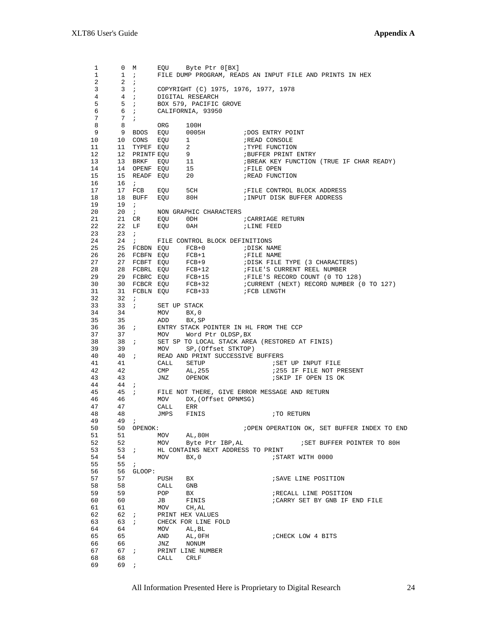1 0 M EQU Byte Ptr 0[BX]<br>1 1; FILE DUMP PROGRAM, REA 1 1 ; FILE DUMP PROGRAM, READS AN INPUT FILE AND PRINTS IN HEX 2 ;  $\begin{array}{ccc} 2 & 2 & i \\ 3 & 3 & i \end{array}$  3 3 ; COPYRIGHT (C) 1975, 1976, 1977, 1978 4 4 ; DIGITAL RESEARCH 5 5; BOX 579, PACIFIC GROVE 6 6 ; CALIFORNIA, 93950  $\begin{array}{ccc} 7 & \quad & 7 & \vdots \\ 8 & \quad & 8 \end{array}$ 8 8 ORG 100H<br>9 9 BDOS EQU 0005H 9 9 BDOS EQU 0005H ;DOS ENTRY POINT 10 10 CONS EQU 1 **;READ CONSOLE** 11 11 TYPEF EQU 2 7 FYPE FUNCTION 12 12 PRINTF EQU 9 ;BUFFER PRINT ENTRY 12 HOURTH EQU 5<br>
13 BRKF EQU 11 ;BREAK KEY FUNCTION (TRUE IF CHAR READY)<br>
14 14 OPENF EQU 15 ;FILE OPEN<br>
15 READF EQU 20 ;READ FUNCTION 14 14 OPENF EQU 15 **;FILE OPEN** 15 15 READF EQU 20 **18 READ FUNCTION**  16 16 ; 17 17 FCB EQU 5CH ;FILE CONTROL BLOCK ADDRESS 18 18 BUFF EQU 80H ;INPUT DISK BUFFER ADDRESS 19 19 ; 20 20 ; NON GRAPHIC CHARACTERS<br>21 21 CR EQU 0DH<br>22 22 LF EQU 0AH  $21 \qquad 21 \qquad \textrm{CR} \qquad \textrm{EQU} \qquad 0 \, \textrm{DH} \qquad \qquad i \, \textrm{CAR} \, \textrm{LINE} \, \, \textrm{RETD}$  22 22 LF EQU 0AH ;LINE FEED 23 23 ; 24 24 ; FILE CONTROL BLOCK DEFINITIONS 25 25 FCBDN EQU FCB+0 ;DISK NAME 26 26 FCBFN EQU FCB+1 **;FILE NAME**  27 27 FCBFT EQU FCB+9 ;DISK FILE TYPE (3 CHARACTERS) 28 28 FCBRL EQU FCB+12 ;FILE'S CURRENT REEL NUMBER 29 29 FCBRC EQU FCB+15 ;FILE'S RECORD COUNT (0 TO 128) 30 30 FCBCR EQU FCB+32 ;CURRENT (NEXT) RECORD NUMBER (0 TO 127) 31 31 FCBLN EQU FCB+33 ;FCB LENGTH 32 32 ; 33 33 ; SET UP STACK 34 34 MOV BX,0 35 35 ADD BX,SP 36 36 ; ENTRY STACK POINTER IN HL FROM THE CCP 37 37 MOV Word Ptr OLDSP,BX 38 38 ; SET SP TO LOCAL STACK AREA (RESTORED AT FINIS) 39 39 MOV SP,(Offset STKTOP) 40 40 ; READ AND PRINT SUCCESSIVE BUFFERS 41 41 CALL SETUP ;SET UP INPUT FILE 42 42 CMP AL, 255 6 6 7255 IF FILE NOT PRESENT 43 43 JNZ OPENOK ;SKIP IF OPEN IS OK  $44$   $44$  ;<br> $45$   $45$  ; 45 45 ; FILE NOT THERE, GIVE ERROR MESSAGE AND RETURN 46 46 MOV DX, (Offset OPNMSG)<br>47 47 CALL ERR 47 47 CALL ERR 48 48 JMPS FINIS : TO RETURN 49 49 ; 49 49 ; 50 50 OPENOK:  $\frac{1}{2}$  iOPEN OPERATION OK, SET BUFFER INDEX TO END 51 51 MOV AL,80H<br>52 52 MOV Byte Ptr 52 52 MOV Byte Ptr IBP,AL ;SET BUFFER POINTER TO 80H 53 53 ; HL CONTAINS NEXT ADDRESS TO PRINT 54 54 MOV BX, 0  $5T^2$ 54 54 MOV BX, 0  $55$  55  $55$  55  $5$  $55$   $55$  ;<br> $56$   $56$   $56$   $56$   $56$  56 56 GLOOP: 57 57 PUSH BX **;** SAVE LINE POSITION 58 58 CALL GNB 59 59 POP BX ;RECALL LINE POSITION<br>
59 59 POP BX ;CARRY SET BY GNB IF I<br>
61 61 MOV CH, AL 60 60 JB FINIS : CARRY SET BY GNB IF END FILE<br>61 61 MOV CH.AL 61 61 MOV CH,AL 62 62 ; PRINT HEX VALUES 63 63 ; CHECK FOR LINE FOLD 64 64 MOV AL,BL 65 65 AND AL,0FH ;CHECK LOW 4 BITS 66 66 JNZ NONUM 67 67 ; PRINT LINE NUMBER<br>68 68 CALL CRIF 68 68 CALL CRLF 69 69 ;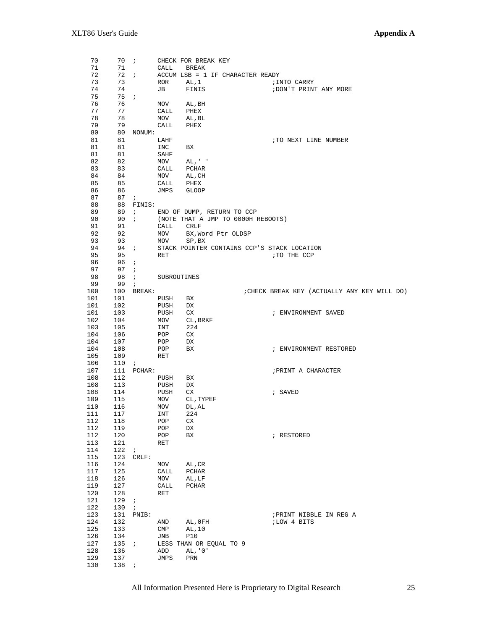| 70         |                                               | 70 <i>i</i> |                | CHECK FOR BREAK KEY                         |                                              |
|------------|-----------------------------------------------|-------------|----------------|---------------------------------------------|----------------------------------------------|
| 71         | 71 —                                          |             | CALL BREAK     |                                             |                                              |
| 72         |                                               |             |                | 72 $\;$ ; ACCUM LSB = 1 IF CHARACTER READY  |                                              |
| 73         | 73                                            |             | ROR AL, 1      |                                             | ;INTO CARRY                                  |
| 74         | 74                                            |             | JB FINIS       |                                             | ; DON'T PRINT ANY MORE                       |
| 75         | $75$ ;                                        |             |                |                                             |                                              |
| 76         | 76                                            |             | MOV AL, BH     |                                             |                                              |
| 77         | 77                                            |             | CALL           | PHEX                                        |                                              |
|            |                                               |             |                |                                             |                                              |
| 78         | 78                                            |             |                | MOV AL, BL                                  |                                              |
| 79         | 79                                            |             | CALL           | PHEX                                        |                                              |
| 80         |                                               | 80 NONUM:   |                |                                             |                                              |
| 81         | 81                                            |             | LAHF           |                                             | TO NEXT LINE NUMBER                          |
| 81         | 81                                            |             | INC BX         |                                             |                                              |
| 81         | 81                                            |             | SAHF           |                                             |                                              |
| 82         | 82                                            |             |                | $MOV$ $AL, ' '$                             |                                              |
| 83         | 83                                            |             | CALL           | PCHAR                                       |                                              |
| 84         | 84                                            |             | MOV AL, CH     |                                             |                                              |
| 85         | 85                                            |             | CALL           | PHEX                                        |                                              |
| 86         |                                               |             | JMPS GLOOP     |                                             |                                              |
|            | 86 —                                          |             |                |                                             |                                              |
| 87         | 87 <i>i</i>                                   |             |                |                                             |                                              |
| 88         |                                               | 88 FINIS:   |                |                                             |                                              |
| 89         |                                               |             |                | 89 ; END OF DUMP, RETURN TO CCP             |                                              |
| 90         |                                               | 90i         |                | (NOTE THAT A JMP TO 0000H REBOOTS)          |                                              |
| 91         | 91                                            |             | CALL CRLF      |                                             |                                              |
| 92         | 92                                            |             |                | MOV BX, Word Ptr OLDSP                      |                                              |
| 93         | 93                                            |             | MOV            | SP, BX                                      |                                              |
| 94         | $94$ ;                                        |             |                | STACK POINTER CONTAINS CCP'S STACK LOCATION |                                              |
| 95         | 95                                            |             | RET            |                                             | TO THE CCP                                   |
| 96         |                                               |             |                |                                             |                                              |
|            | 96i                                           |             |                |                                             |                                              |
| 97         | $97 \quad ;$                                  |             |                |                                             |                                              |
| 98         |                                               | 98 <i>i</i> | SUBROUTINES    |                                             |                                              |
| 99         | 99;                                           |             |                |                                             |                                              |
| 100        |                                               | 100 BREAK:  |                |                                             | ; CHECK BREAK KEY (ACTUALLY ANY KEY WILL DO) |
| 101        | 101                                           |             | PUSH BX        |                                             |                                              |
|            | $\begin{array}{cc}\n101 & 102 \\ \end{array}$ |             | PUSH           | DX                                          |                                              |
| 101        | 103                                           |             |                |                                             | ; ENVIRONMENT SAVED                          |
| 102        | 104                                           |             |                | PUSH CX<br>MOV CL,BRKF                      |                                              |
|            |                                               |             | INT            | 224                                         |                                              |
|            | 103 105<br>104 106                            |             | POP            | CX                                          |                                              |
|            |                                               |             |                |                                             |                                              |
| 104        | 107                                           |             | POP            | DX                                          |                                              |
| 104        | 108                                           |             | POP            | BX                                          | ; ENVIRONMENT RESTORED                       |
| 105        | 109                                           |             | RET            |                                             |                                              |
| 106        | 110i                                          |             |                |                                             |                                              |
| 107        |                                               | 111 PCHAR:  |                |                                             | ; PRINT A CHARACTER                          |
| 108        | 112                                           |             | PUSH           | BX                                          |                                              |
| 108        | 113                                           |             | PUSH           | DX                                          |                                              |
| 108        | 114                                           |             | PUSH           | CX                                          | ; SAVED                                      |
| 109        | 115                                           |             |                | MOV CL, TYPEF                               |                                              |
| 110        | 116                                           |             | MOV            | DL, AL                                      |                                              |
| 111        | 117                                           |             | INT            | 224                                         |                                              |
|            |                                               |             |                |                                             |                                              |
| 112<br>112 | 118<br>119                                    |             | POP            | CX                                          |                                              |
|            |                                               |             | POP            | DX                                          |                                              |
| 112        | 120                                           |             | POP            | BX                                          | ; RESTORED                                   |
| 113        | 121                                           |             | <b>RET</b>     |                                             |                                              |
| 114        | 122                                           | $\cdot$ ;   |                |                                             |                                              |
| 115        |                                               | 123 CRLF:   |                |                                             |                                              |
| 116        | 124                                           |             | MOV            | AL, CR                                      |                                              |
| 117        | 125                                           |             | CALL           | PCHAR                                       |                                              |
| 118        | 126                                           |             | MOV            | AL, LF                                      |                                              |
| 119        | 127                                           |             | CALL           | PCHAR                                       |                                              |
| 120        | 128                                           |             | RET            |                                             |                                              |
| 121        | 129i                                          |             |                |                                             |                                              |
|            |                                               |             |                |                                             |                                              |
| 122        | 130                                           | $\cdot$ ;   |                |                                             |                                              |
| 123        |                                               | 131 PNIB:   |                |                                             | ; PRINT NIBBLE IN REG A                      |
| 124        | 132                                           |             | AND            | AL, OFH                                     | ;LOW 4 BITS                                  |
| 125        | 133                                           |             | $\texttt{CMP}$ | AL, 10                                      |                                              |
| 126        | 134                                           |             | JNB            | P10                                         |                                              |
| 127        | 135 i                                         |             |                | LESS THAN OR EQUAL TO 9                     |                                              |
| 128        | 136                                           |             | ADD            | AL, '0'                                     |                                              |
| 129        | 137                                           |             | JMPS           | PRN                                         |                                              |
| 130        | 138                                           | $\cdot$ ;   |                |                                             |                                              |
|            |                                               |             |                |                                             |                                              |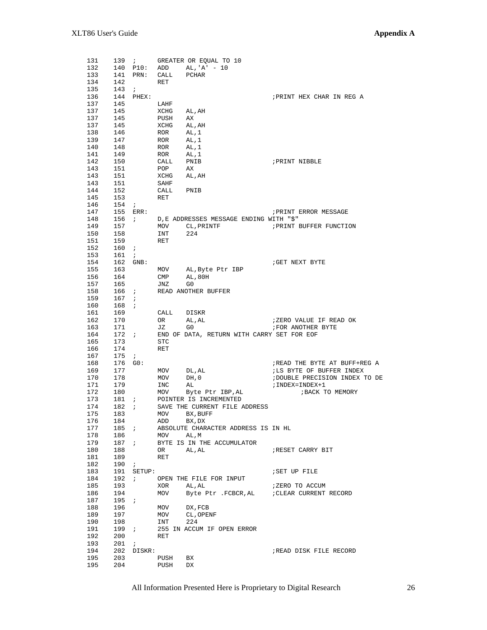| 131 |              | 139i             |             | GREATER OR EQUAL TO 10                     |                                |
|-----|--------------|------------------|-------------|--------------------------------------------|--------------------------------|
| 132 |              |                  |             | 140 P10: ADD AL, 'A' - 10                  |                                |
| 133 | 141          | PRN: CALL        |             | PCHAR                                      |                                |
| 134 | 142          |                  | RET         |                                            |                                |
|     |              |                  |             |                                            |                                |
| 135 | 143          | $\mathcal{L}$    |             |                                            |                                |
| 136 | 144          | PHEX:            |             |                                            | ; PRINT HEX CHAR IN REG A      |
| 137 | 145          |                  | LAHF        |                                            |                                |
| 137 | 145          |                  | XCHG        | AL, AH                                     |                                |
| 137 | 145          |                  | PUSH        | AX                                         |                                |
|     |              |                  |             |                                            |                                |
| 137 | 145          |                  | XCHG        | AL, AH                                     |                                |
| 138 | 146          |                  | ROR AL, 1   |                                            |                                |
| 139 | 147          |                  | ROR         | AL,1                                       |                                |
| 140 | 148          |                  | ROR AL, 1   |                                            |                                |
| 141 | 149          |                  | ROR         | AL,1                                       |                                |
| 142 | 150          |                  | CALL PNIB   |                                            | ; PRINT NIBBLE                 |
|     |              |                  |             |                                            |                                |
| 143 | 151          |                  | POP         | AX                                         |                                |
| 143 | 151          |                  | XCHG AL, AH |                                            |                                |
| 143 | 151          |                  | SAHF        |                                            |                                |
| 144 | 152          |                  | CALL        | PNIB                                       |                                |
| 145 | 153          |                  | RET         |                                            |                                |
|     |              |                  |             |                                            |                                |
| 146 | 154          | $\mathcal{L}$    |             |                                            |                                |
| 147 | 155          | $\mathtt{ERR}$ : |             |                                            | ; PRINT ERROR MESSAGE          |
| 148 | $156$ ;      |                  |             | D, E ADDRESSES MESSAGE ENDING WITH "\$"    |                                |
| 149 | 157          |                  | MOV         | CL, PRINTF                                 | PRINT BUFFER FUNCTION          |
| 150 | 158          |                  | INT         | 224                                        |                                |
|     |              |                  |             |                                            |                                |
| 151 | 159          |                  | RET         |                                            |                                |
| 152 | 160          | $\mathbf{r}$     |             |                                            |                                |
| 153 | 161          | $\mathbf{r}$     |             |                                            |                                |
| 154 |              | 162 GNB:         |             |                                            | GET NEXT BYTE                  |
| 155 | 163          |                  | MOV         | AL, Byte Ptr IBP                           |                                |
|     |              |                  |             |                                            |                                |
| 156 | 164          |                  | CMP         | AL, 80H                                    |                                |
| 157 | 165          |                  | JNZ         | G0                                         |                                |
| 158 | 166 <i>i</i> |                  |             | READ ANOTHER BUFFER                        |                                |
| 159 | 167          | $\mathbf{r}$     |             |                                            |                                |
| 160 | 168          | $\mathbf{r}$     |             |                                            |                                |
|     |              |                  |             |                                            |                                |
| 161 | 169          |                  | CALL        | DISKR                                      |                                |
| 162 | 170          |                  | OR          | AL, AL                                     | ;ZERO VALUE IF READ OK         |
| 163 | 171          |                  | JZ          | G0                                         | FOR ANOTHER BYTE               |
| 164 | 172 i        |                  |             | END OF DATA, RETURN WITH CARRY SET FOR EOF |                                |
| 165 | 173          |                  | STC         |                                            |                                |
|     |              |                  |             |                                            |                                |
| 166 | 174          |                  | RET         |                                            |                                |
| 167 | 175          | $\ddot{i}$       |             |                                            |                                |
| 168 | 176 GO:      |                  |             |                                            | ; READ THE BYTE AT BUFF+REG A  |
| 169 | 177          |                  | MOV         | DL,AL                                      | ; LS BYTE OF BUFFER INDEX      |
| 170 | 178          |                  | MOV         | DH, 0                                      | ; DOUBLE PRECISION INDEX TO DE |
|     |              |                  |             |                                            |                                |
| 171 | 179          |                  | INC         | AL                                         | ; INDEX=INDEX+1                |
| 172 | 180          |                  | MOV         | Byte Ptr IBP, AL                           | ; BACK TO MEMORY               |
| 173 | 181          | $\mathbf{r}$     |             | POINTER IS INCREMENTED                     |                                |
| 174 | 182          | $\mathbf{r}$     |             | SAVE THE CURRENT FILE ADDRESS              |                                |
| 175 | 183          |                  | MOV         | BX , BUFF                                  |                                |
|     |              |                  |             |                                            |                                |
| 176 | 184          |                  | ADD         | BX, DX                                     |                                |
| 177 | $185$ ;      |                  |             | ABSOLUTE CHARACTER ADDRESS IS IN HL        |                                |
| 178 | 186          |                  | MOV         | AL,M                                       |                                |
| 179 | 187          | $\mathbf{r}$     |             | BYTE IS IN THE ACCUMULATOR                 |                                |
| 180 | 188          |                  | OR          | AL, AL                                     | RESET CARRY BIT                |
|     |              |                  | <b>RET</b>  |                                            |                                |
| 181 | 189          |                  |             |                                            |                                |
| 182 | 190          | $\cdot$ ;        |             |                                            |                                |
| 183 | 191          | SETUP:           |             |                                            | <b>SET UP FILE</b>             |
| 184 | 192          | $\mathcal{L}$    |             | OPEN THE FILE FOR INPUT                    |                                |
| 185 | 193          |                  | XOR         | AL , AL                                    | ;ZERO TO ACCUM                 |
|     |              |                  |             |                                            |                                |
| 186 | 194          |                  | MOV         | Byte Ptr .FCBCR, AL                        | CLEAR CURRENT RECORD           |
| 187 | 195          | $\cdot$ ;        |             |                                            |                                |
| 188 | 196          |                  | MOV         | DX, FCB                                    |                                |
| 189 | 197          |                  | MOV         | CL, OPENF                                  |                                |
| 190 | 198          |                  | INT         | 224                                        |                                |
|     |              |                  |             |                                            |                                |
| 191 | 199          | $\cdot$ ;        |             | 255 IN ACCUM IF OPEN ERROR                 |                                |
| 192 | 200          |                  | RET         |                                            |                                |
| 193 | 201          | $\cdot$ ;        |             |                                            |                                |
| 194 | 202          | DISKR:           |             |                                            | ;READ DISK FILE RECORD         |
| 195 | 203          |                  | PUSH        | BX                                         |                                |
|     |              |                  |             |                                            |                                |
| 195 | 204          |                  | PUSH        | DX                                         |                                |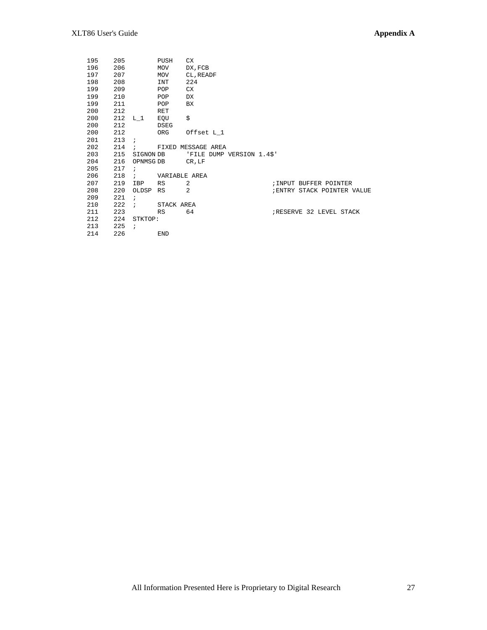| 195 | 205 |                 | PUSH        | CX.                            |
|-----|-----|-----------------|-------------|--------------------------------|
| 196 | 206 |                 | MOV         | DX, FCB                        |
| 197 | 207 |                 | MOV         | CL, READF                      |
| 198 | 208 |                 | INT         | 224                            |
| 199 | 209 |                 | POP         | CX.                            |
| 199 | 210 |                 | POP         | DX                             |
| 199 | 211 |                 | POP         | BX.                            |
| 200 | 212 |                 | <b>RET</b>  |                                |
| 200 |     | $212$ L_1       | EQU         | \$                             |
| 200 | 212 |                 | <b>DSEG</b> |                                |
| 200 | 212 |                 | ORG         | Offset L_1                     |
| 201 | 213 | $\cdot$ :       |             |                                |
| 202 | 214 | $\cdot$         |             | FIXED MESSAGE AREA             |
| 203 | 215 |                 | SIGNON DB   | 'FILE DUMP VERSION 1.4\$'      |
| 204 | 216 | OPNMSG DB       |             | CR, LF                         |
| 205 | 217 | $\ddot{i}$      |             |                                |
| 206 | 218 | $\cdot$ $\cdot$ |             | VARIABLE AREA                  |
| 207 | 219 | IBP             | RS          | 2<br>; INPUT BUFFER POINTER    |
| 208 | 220 | OLDSP RS        |             | 2<br>ENTRY STACK POINTER VALUE |
| 209 | 221 | $\cdot$         |             |                                |
| 210 | 222 | $\cdot$ :       | STACK AREA  |                                |
| 211 | 223 |                 | RS          | 64<br>RESERVE 32 LEVEL STACK   |
| 212 | 224 | STKTOP:         |             |                                |
| 213 | 225 | $\cdot$         |             |                                |
| 214 | 226 |                 | <b>END</b>  |                                |
|     |     |                 |             |                                |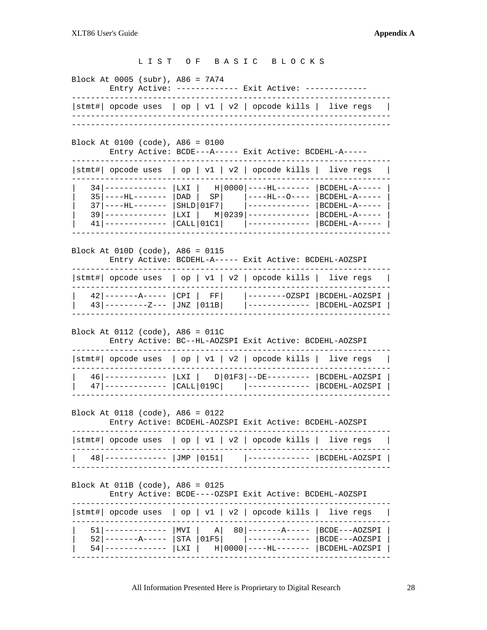#### L I S T O F B A S I C B L O C K S

Block At 0005 (subr), A86 = 7A74

Entry Active: ------------- Exit Active: -------------

------------------------------------------------------------------- |stmt#| opcode uses | op | v1 | v2 | opcode kills | live regs | ------------------------------------------------------------------- -------------------------------------------------------------------

Block At 0100 (code), A86 = 0100

Entry Active: BCDE---A----- Exit Active: BCDEHL-A-----

| $ \texttt{stmt#} $ opcode uses $ $ op $ $ v1 $ $ v2 $ $ opcode kills $ $ live regs |                               |                                    |               |
|------------------------------------------------------------------------------------|-------------------------------|------------------------------------|---------------|
| 34   -------------   LXI   H   0000   ----HL-------   BCDEHL-A-----                |                               |                                    |               |
| $35 \mid ----HL----- - \mid DAD \mid SP \mid - ----HL--- - \mid BCDEHL-A---$       |                               |                                    |               |
| $37$ $ $ ----HL-------                                                             |                               | $ $ SHLD $ 01F7 $ $ $ ------------ | BCDEHL-A----- |
| $39$ -----------                                                                   |                               | LXI   M 0239 -----------           | BCDEHL-A----- |
| $41$   -----------                                                                 | <b>CALL</b>   <sub>01C1</sub> |                                    | BCDEHL-A----- |
|                                                                                    |                               |                                    |               |

Block At 010D (code), A86 = 0115

Entry Active: BCDEHL-A----- Exit Active: BCDEHL-AOZSPI

| $ \text{stmt#} $ opcode uses $ $ op $ $ v1 $ $ v2 $ $ opcode kills $ $ live regs $ $ |  |                                                                                               |  |
|--------------------------------------------------------------------------------------|--|-----------------------------------------------------------------------------------------------|--|
| $43$  ---------Z---  JNZ  011B                                                       |  | 42 -------A-----  CPI   FF   --------OZSPI  BCDEHL-AOZSPI  <br> -------------   BCDEHL-AOZSPI |  |

Block At 0112 (code), A86 = 011C

Entry Active: BC--HL-AOZSPI Exit Active: BCDEHL-AOZSPI

| $ \text{stmt#} $ opcode uses $ $ op $ $ v1 $ $ v2 $ $ opcode kills $ $ live regs $ $                       |                            |
|------------------------------------------------------------------------------------------------------------|----------------------------|
| 46 ------------  LXI   D 01F3 --DE---------  BCDEHL-AOZSPI  <br>$47$ ------------- $ CALL 019C $ $ ------$ | BCDEHL-AOZSPI <sup>1</sup> |

Block At 0118 (code), A86 = 0122

Entry Active: BCDEHL-AOZSPI Exit Active: BCDEHL-AOZSPI

| 48 ------------  JMP   0151     ------------   BCDEHL-AOZSPI | $ \text{stmt}\# $ opcode uses $ $ op $  v1   v2  $ opcode kills $ $ live regs $ $ |  |  |  |  |
|--------------------------------------------------------------|-----------------------------------------------------------------------------------|--|--|--|--|
|                                                              |                                                                                   |  |  |  |  |

Block At 011B (code), A86 = 0125

Entry Active: BCDE----OZSPI Exit Active: BCDEHL-AOZSPI

| $ \text{stmt}\# $ opcode uses $ $ op $ $ v1 $ $ v2 $ $ opcode kills $ $ live regs $ $                                                                                                                    |  |  |  |
|----------------------------------------------------------------------------------------------------------------------------------------------------------------------------------------------------------|--|--|--|
| 51 ------------   MVI   A  80 -------A-----   BCDE---AOZSPI  <br>52 -------A-----   STA   01F5      ------------   BCDE---AOZSPI  <br>54  ------------   LXI   H   0000   ---- HL-------   BCDEHL-AOZSPI |  |  |  |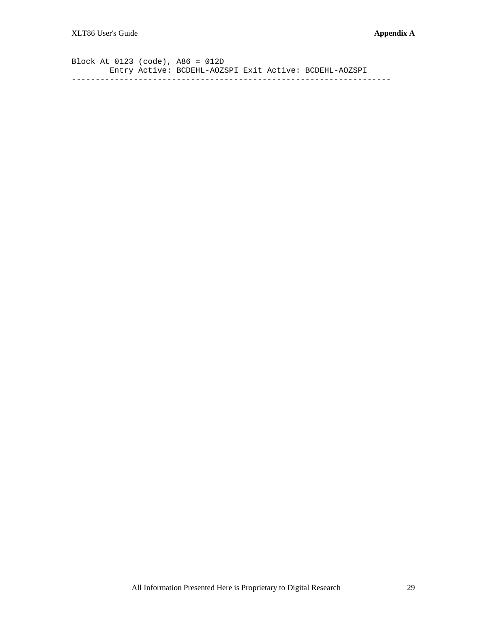Block At 0123 (code), A86 = 012D Entry Active: BCDEHL-AOZSPI Exit Active: BCDEHL-AOZSPI -------------------------------------------------------------------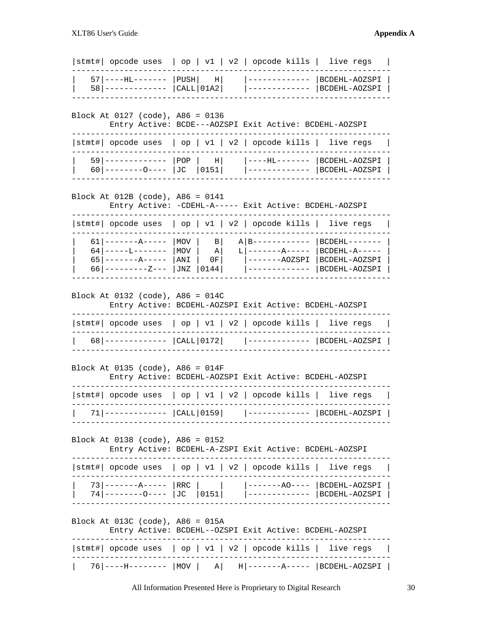| stmt#   opcode uses                                                                                                                          |                          |                                                      |  | op   v1   v2   opcode kills   live regs                                                                                 |                                                                            |  |  |  |
|----------------------------------------------------------------------------------------------------------------------------------------------|--------------------------|------------------------------------------------------|--|-------------------------------------------------------------------------------------------------------------------------|----------------------------------------------------------------------------|--|--|--|
| 57   ----HL-------<br>$58$   -------------                                                                                                   | PUSH                     | $\vert$ H $\vert$<br>  <b>CALL</b>   <sub>01A2</sub> |  |                                                                                                                         | BCDEHL-AOZSPI<br>BCDEHL-AOZSPI                                             |  |  |  |
| Block At 0127 (code), A86 = 0136                                                                                                             |                          |                                                      |  | Entry Active: BCDE---AOZSPI Exit Active: BCDEHL-AOZSPI                                                                  |                                                                            |  |  |  |
| stmt#  opcode uses   op   v1   v2   opcode kills                                                                                             |                          |                                                      |  |                                                                                                                         | live regs                                                                  |  |  |  |
| 59   -------------<br>$60$   --------0----   JC                                                                                              | $ $ POP                  | H <br> 0151                                          |  | ----HL-------<br>-------------                                                                                          | BCDEHL-AOZSPI<br> BCDEHL-AOZSPI                                            |  |  |  |
| Block At 012B (code), A86 = 0141                                                                                                             |                          |                                                      |  | Entry Active: - CDEHL-A----- Exit Active: BCDEHL-AOZSPI                                                                 |                                                                            |  |  |  |
| stmt#   opcode uses                                                                                                                          |                          |                                                      |  | op   v1   v2   opcode kills                                                                                             | live regs                                                                  |  |  |  |
| 61 I<br>————————————<br>64   -----L-------<br>65   --------A-----<br>66   ---------Z---                                                      | MOV<br>MOV<br>ANI<br>JNZ | $\vert$ B<br>ΑI<br>0 F I<br>0144                     |  | $A$   B – – – – – –<br>$L$   ------- $A$ -----<br>-----AOZSPI                                                           | $BCDEHL------$<br>$BCDEHL - A - - - - -$<br>BCDEHL-AOZSPI<br>BCDEHL-AOZSPI |  |  |  |
| Block At 0132 (code), A86 = 014C<br>stmt#  opcode uses                                                                                       |                          |                                                      |  | Entry Active: BCDEHL-AOZSPI Exit Active: BCDEHL-AOZSPI<br>$\vert$ op $\vert$ v1 $\vert$ v2 $\vert$ opcode kills $\vert$ | live regs                                                                  |  |  |  |
|                                                                                                                                              |                          |                                                      |  |                                                                                                                         |                                                                            |  |  |  |
| Block At 0135 (code), $A86 = 014F$<br>Entry Active: BCDEHL-AOZSPI Exit Active: BCDEHL-AOZSPI                                                 |                          |                                                      |  |                                                                                                                         |                                                                            |  |  |  |
| stmt#  opcode uses                                                                                                                           |                          |                                                      |  | op   v1   v2   opcode kills                                                                                             | live regs                                                                  |  |  |  |
| -------------  CALL 0159                                                                                                                     |                          |                                                      |  |                                                                                                                         | -----  BCDEHL-AOZSPI                                                       |  |  |  |
| Block At 0138 (code), A86 = 0152                                                                                                             |                          |                                                      |  | Entry Active: BCDEHL-A-ZSPI Exit Active: BCDEHL-AOZSPI                                                                  |                                                                            |  |  |  |
| stmt#  opcode uses                                                                                                                           |                          |                                                      |  | $\vert$ op $\vert$ v1 $\vert$ v2 $\vert$ opcode kills $\vert$                                                           | live regs                                                                  |  |  |  |
| $73 \mid -----A--- -$   RRC<br>$74 \mid \frac{\cdot}{\cdot} \cdot \cdot \cdot \cdot \cdot \cdot \cdot \cdot \cdot = \text{JCC}$ $ 0151 \mid$ |                          |                                                      |  |                                                                                                                         | ------AO----  BCDEHL-AOZSPI<br>-------------   BCDEHL-AOZSPI               |  |  |  |
| Block At 013C (code), A86 = 015A                                                                                                             |                          |                                                      |  | Entry Active: BCDEHL--OZSPI Exit Active: BCDEHL-AOZSPI                                                                  |                                                                            |  |  |  |
| stmt#   opcode uses   op   v1   v2   opcode kills   live regs                                                                                |                          |                                                      |  |                                                                                                                         |                                                                            |  |  |  |
| 76  ----H--------   MOV   A   H  -------A-----   BCDEHL-AOZSPI                                                                               |                          |                                                      |  |                                                                                                                         |                                                                            |  |  |  |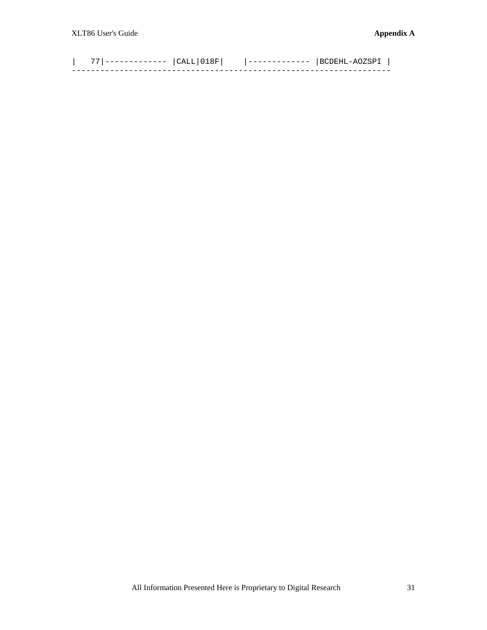| 77|------------- |CALL|018F| |------------- |BCDEHL-AOZSPI | -------------------------------------------------------------------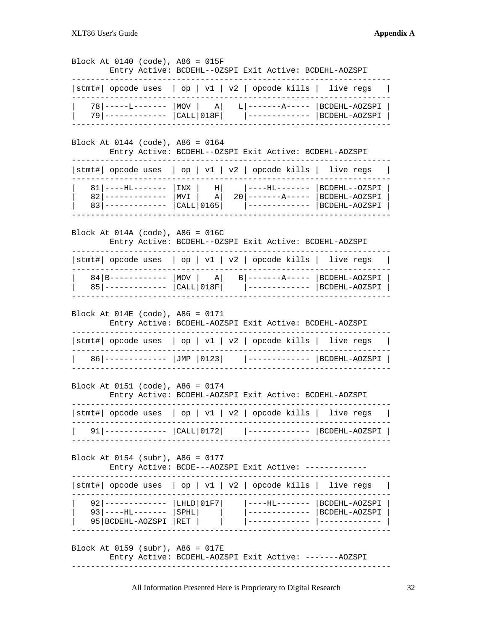Block At 0140 (code), A86 = 015F Entry Active: BCDEHL--OZSPI Exit Active: BCDEHL-AOZSPI ------------------------------------------------------------------- |stmt#| opcode uses | op | v1 | v2 | opcode kills | live regs | ------------------------------------------------------------------- | 78|-----L------- |MOV | A| L|-------A----- |BCDEHL-AOZSPI | | 79|------------- |CALL|018F| |------------- |BCDEHL-AOZSPI | ------------------------------------------------------------------- Block At 0144 (code), A86 = 0164 Entry Active: BCDEHL--OZSPI Exit Active: BCDEHL-AOZSPI ------------------------------------------------------------------- |stmt#| opcode uses | op | v1 | v2 | opcode kills | live regs | ------------------------------------------------------------------- | 81|----HL------- |INX | H| |----HL------- |BCDEHL--OZSPI | | 82|------------- |MVI | A| 20|-------A----- |BCDEHL-AOZSPI | | 83|------------- |CALL|0165| |------------- |BCDEHL-AOZSPI | ------------------------------------------------------------------- Block At 014A (code), A86 = 016C Entry Active: BCDEHL--OZSPI Exit Active: BCDEHL-AOZSPI ------------------------------------------------------------------- |stmt#| opcode uses | op | v1 | v2 | opcode kills | live regs | ------------------------------------------------------------------- | 84|B------------ |MOV | A| B|-------A----- |BCDEHL-AOZSPI | | 85|------------- |CALL|018F| |------------- |BCDEHL-AOZSPI | ------------------------------------------------------------------- Block At 014E (code), A86 = 0171 Entry Active: BCDEHL-AOZSPI Exit Active: BCDEHL-AOZSPI ------------------------------------------------------------------- |stmt#| opcode uses | op | v1 | v2 | opcode kills | live regs | ------------------------------------------------------------------- | 86|------------- |JMP |0123| |------------- |BCDEHL-AOZSPI | ------------------------------------------------------------------- Block At 0151 (code), A86 = 0174 Entry Active: BCDEHL-AOZSPI Exit Active: BCDEHL-AOZSPI ------------------------------------------------------------------- |stmt#| opcode uses | op | v1 | v2 | opcode kills | live regs | ------------------------------------------------------------------- | 91|------------- |CALL|0172| |------------- |BCDEHL-AOZSPI | ------------------------------------------------------------------- Block At 0154 (subr), A86 = 0177 Entry Active: BCDE---AOZSPI Exit Active: ------------- ------------------------------------------------------------------- |stmt#| opcode uses | op | v1 | v2 | opcode kills | live regs | ------------------------------------------------------------------- | 92|------------- |LHLD|01F7| |----HL------- |BCDEHL-AOZSPI | | 93|----HL------- |SPHL| | |------------- |BCDEHL-AOZSPI | | 95|BCDEHL-AOZSPI |RET | | |------------- |------------- | ------------------------------------------------------------------- Block At 0159 (subr), A86 = 017E Entry Active: BCDEHL-AOZSPI Exit Active: -------AOZSPI -------------------------------------------------------------------

All Information Presented Here is Proprietary to Digital Research 32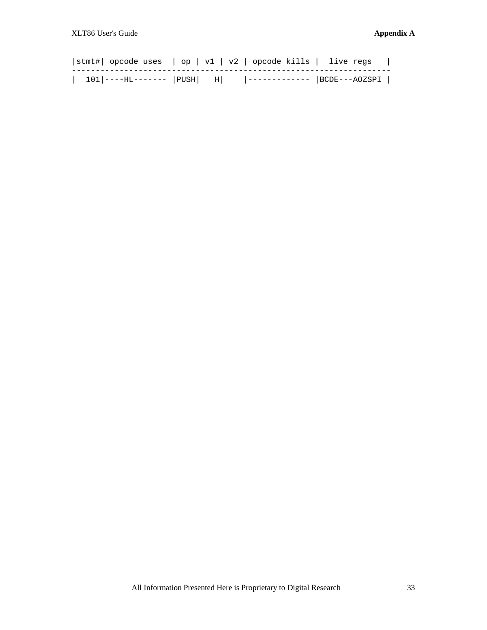| $ \text{stmt}\# $ opcode uses $ $ op $  v1   v2  $ opcode kills $ $ live regs $ $ |  |  |
|-----------------------------------------------------------------------------------|--|--|
| 101 ----HL-------  PUSH  H   ------------  BCDE---AOZSPI                          |  |  |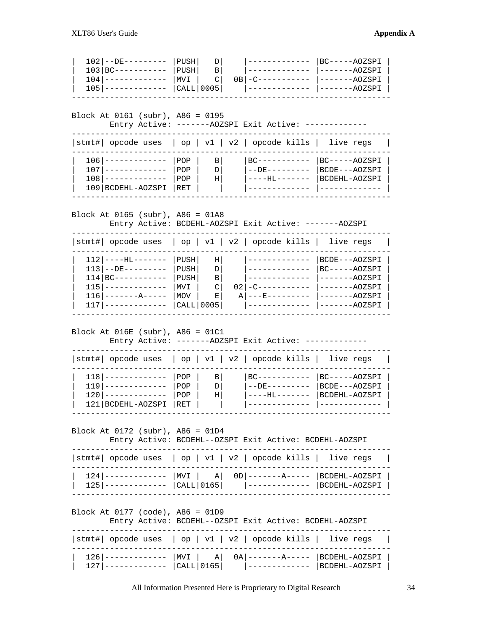| $102$ $\left  -D E --- --- --- \right $ PUSH |              | D <sub>l</sub> |                                | BC-----AOZSPI       |
|----------------------------------------------|--------------|----------------|--------------------------------|---------------------|
| $103 BC-----$                                | PUSH         | $\mathbf{B}$   |                                | -------AOZSPI       |
| $104$ -----------                            | $ MVI $ $Cl$ |                | $OB$ - C - - - - - - - - - - - | -------AOZSPI       |
| $105$   -------------                        | CALL 0005    |                |                                | ----  -------AOZSPI |
|                                              |              |                |                                |                     |

Block At 0161 (subr), A86 = 0195

Entry Active: -------AOZSPI Exit Active: -------------

| $ \texttt{stmt#} $ opcode uses $ $ op $ $ v1 $ $ v2 $ $ opcode kills $ $ live regs             |                     |                                   |                                  |                                                 |  |
|------------------------------------------------------------------------------------------------|---------------------|-----------------------------------|----------------------------------|-------------------------------------------------|--|
| $106$   -------------<br>$107$   ------------<br>$108$ ----------<br>109   BCDEHL-AOZSPI   RET | I POP<br>POP<br>POP | $\vert$ B<br>$\overline{D}$<br>ΗI | $BC---------$<br>$-$ -DE-------- | $BC---AOZSPI$<br>BCDE---AOZSPI<br>BCDEHL-AOZSPI |  |

Block At 0165 (subr), A86 = 01A8

Entry Active: BCDEHL-AOZSPI Exit Active: -------AOZSPI

| stmt# opcode uses                |           |              | op   v1   v2   opcode kills   live regs |               |
|----------------------------------|-----------|--------------|-----------------------------------------|---------------|
| $112$   ----HL-------            | PUSH      | ΗI           | $1 - - - - - - - - - - - - -$           | BCDE---AOZSPI |
| $113$ --DE---------              | PUSH      | D            |                                         | BC-----AOZSPI |
| $114$   BC - - - - - - - - - - - | PUSH      | $\mathbf{B}$ |                                         | $---AOZSPI$   |
| $115$ -----------                | MVI       | $\mathbb{C}$ |                                         | -------AOZSPI |
| $116$ -------------              | MOV       | ЕI           | $A$ $- -E$ $- - - - - - - - -$          | -------AOZSPI |
| $117$ -------------              | CHLL 0005 |              |                                         | -------AOZSPI |
|                                  |           |              |                                         |               |

Block At 016E (subr), A86 = 01C1

Entry Active: -------AOZSPI Exit Active: -------------

| $ \texttt{stmt#} $ opcode uses $ $ op $ $ v1 $ $ v2 $ $ opcode kills $ $ live regs |         |                   |                  |                 |  |
|------------------------------------------------------------------------------------|---------|-------------------|------------------|-----------------|--|
| $118$ -------------                                                                | $1$ POP | $\vert$ B $\vert$ | $BC------------$ | $ BC---AOZSPI $ |  |
| $119$ ------------                                                                 | POP     | D <sub>1</sub>    | $--$ DE $---$    | BCDE---AOZSPI   |  |
| $120$   $------$                                                                   | POP     | ΗI                |                  | BCDEHL-AOZSPI   |  |
| 121   BCDEHL-AOZSPI                                                                | RET     |                   |                  |                 |  |
|                                                                                    |         |                   |                  |                 |  |

Block At 0172 (subr), A86 = 01D4

Entry Active: BCDEHL--OZSPI Exit Active: BCDEHL-AOZSPI

| $ \text{stmt}\# $ opcode uses $ $ op $ $ v1 $ $ v2 $ $ opcode kills $ $ live regs $ $                                      |  |  |  |
|----------------------------------------------------------------------------------------------------------------------------|--|--|--|
| 124 -------------  MVI   A  0D -------A-----  BCDEHL-AOZSPI  <br>125 ------------  CALL 0165   ------------  BCDEHL-AOZSPI |  |  |  |

Block At 0177 (code), A86 = 01D9

Entry Active: BCDEHL--OZSPI Exit Active: BCDEHL-AOZSPI

| $ \texttt{stmt#} $ opcode uses $ $ op $ $ v1 $ $ v2 $ $ opcode kills $ $ live regs                                                       |  |  |  |
|------------------------------------------------------------------------------------------------------------------------------------------|--|--|--|
| 126  ------------   MVI   A   0A   -------A-----   BCDEHL-AOZSPI  <br>127  ------------   CALL   0165       ------------   BCDEHL-AOZSPI |  |  |  |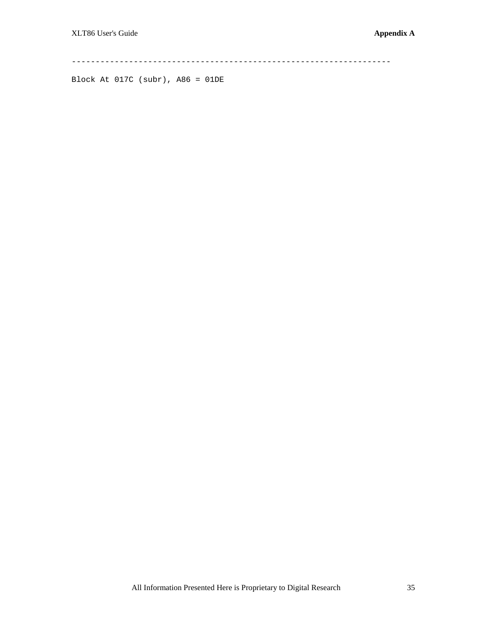-------------------------------------------------------------------

Block At 017C (subr), A86 = 01DE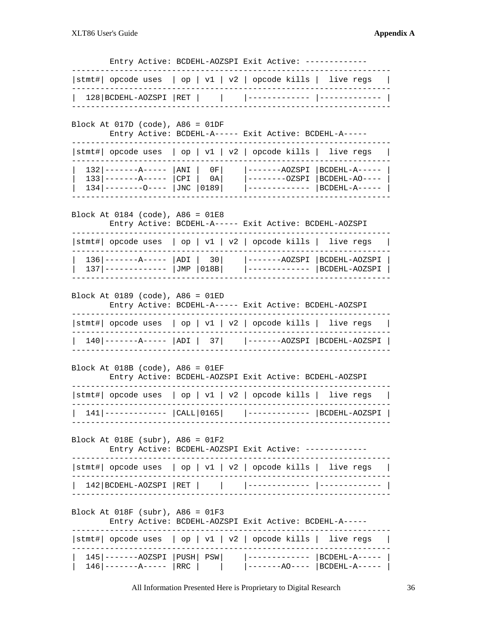Entry Active: BCDEHL-AOZSPI Exit Active: -------------

| $ \text{stmt}\# $ opcode uses $ $ op $ $ v1 $ $ v2 $ $ opcode kills $ $ live regs $ $ |  |  |  |  |
|---------------------------------------------------------------------------------------|--|--|--|--|
|                                                                                       |  |  |  |  |

#### Block At 017D (code), A86 = 01DF

Entry Active: BCDEHL-A----- Exit Active: BCDEHL-A-----

| $ \text{stmt}\# $ opcode uses $ $ op $  v1   v2  $ opcode kills $ $ live regs $ $                            |  |                                                                                                                          |  |
|--------------------------------------------------------------------------------------------------------------|--|--------------------------------------------------------------------------------------------------------------------------|--|
| $132$  --------A-----   ANI   0F  <br>$133$ $ $ --------A----- $ CPI $ 0A<br>$134$  --------0----  JNC  0189 |  | -------AOZSPI  BCDEHL-A-----  <br> --------OZSPI  BCDEHL-AO----  <br>$\vert$ ------------- $\vert$ BCDEHL-A----- $\vert$ |  |
|                                                                                                              |  |                                                                                                                          |  |

### Block At 0184 (code), A86 = 01E8

Entry Active: BCDEHL-A----- Exit Active: BCDEHL-AOZSPI

| $ \text{stmt}\# $ opcode uses $ $ op $ $ v1 $ $ v2 $ $ opcode kills $ $ live regs $ $ |  |                                                                                       |  |
|---------------------------------------------------------------------------------------|--|---------------------------------------------------------------------------------------|--|
| $136$  --------A-----  ADI   30  <br>$137$ ------------ $JJMP$ $018B$                 |  | -------AOZSPI  BCDEHL-AOZSPI  <br>$\vert$ ------------- $\vert$ BCDEHL-AOZSPI $\vert$ |  |

| Block At 0189 (code), A86 = 01ED |  |  |
|----------------------------------|--|--|
|----------------------------------|--|--|

| Entry Active: BCDEHL-A----- Exit Active: BCDEHL-AOZSPI |  |  |  |  |  |  |
|--------------------------------------------------------|--|--|--|--|--|--|
|--------------------------------------------------------|--|--|--|--|--|--|

| $ \text{stmt#} $ opcode uses $ $ op $  v1   v2  $ opcode kills $ $ live regs $ $ |  |  |  |
|----------------------------------------------------------------------------------|--|--|--|
| 140 -------A-----   ADI   37    -------AOZSPI   BCDEHL-AOZSPI                    |  |  |  |

#### Block At 018B (code), A86 = 01EF

# Entry Active: BCDEHL-AOZSPI Exit Active: BCDEHL-AOZSPI

| $ \text{stmt}\# $ opcode uses $ $ op $  v1   v2  $ opcode kills $ $ live regs $ $ |  |  |
|-----------------------------------------------------------------------------------|--|--|
| 141 -------------  CALL 0165   ------------  BCDEHL-AOZSPI                        |  |  |

#### Block At 018E (subr), A86 = 01F2

# Entry Active: BCDEHL-AOZSPI Exit Active: -------------

| $ \text{stmt#} $ opcode uses $ $ op $  v1   v2  $ opcode kills $ $ live regs $ $ |  |  |  |
|----------------------------------------------------------------------------------|--|--|--|
|                                                                                  |  |  |  |

### Block At 018F (subr), A86 = 01F3

### Entry Active: BCDEHL-AOZSPI Exit Active: BCDEHL-A-----

| $ \text{stmt#} $ opcode uses $ $ op $ $ v1 $ $ v2 $ $ opcode kills $ $ live regs $ $ |                                                                                                                      |  |
|--------------------------------------------------------------------------------------|----------------------------------------------------------------------------------------------------------------------|--|
| $146$  -----------  RRC                                                              | $145$  -------AOZSPI   PUSH   PSW     -------------   BCDEHL-A-----  <br>$\vert$ -------AO---- $\vert$ BCDEHL-A----- |  |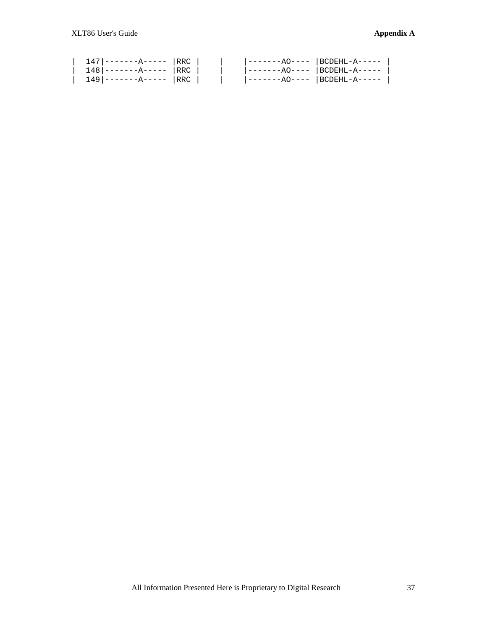|  | $147$ --------A-----   RRC |  | -------AO----  BCDEHL-A-----  |  |
|--|----------------------------|--|-------------------------------|--|
|  | $148$ --------A-----   RRC |  | $ -----A0---  $ BCDEHL-A----- |  |
|  | $149$ --------A----- RRC   |  | -------AO----  BCDEHL-A-----  |  |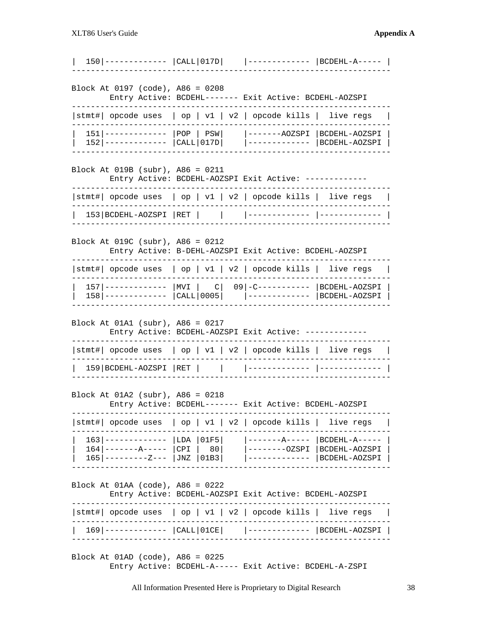|      |  |                                  |                                                                                           | $ $ -------                                                                                                                                                                                            |                                                                                                                                                                                                                                                                                                                                                                                                                                                                                                                                                                                                                                                                                                                                                                                                                                              |
|------|--|----------------------------------|-------------------------------------------------------------------------------------------|--------------------------------------------------------------------------------------------------------------------------------------------------------------------------------------------------------|----------------------------------------------------------------------------------------------------------------------------------------------------------------------------------------------------------------------------------------------------------------------------------------------------------------------------------------------------------------------------------------------------------------------------------------------------------------------------------------------------------------------------------------------------------------------------------------------------------------------------------------------------------------------------------------------------------------------------------------------------------------------------------------------------------------------------------------------|
|      |  |                                  |                                                                                           |                                                                                                                                                                                                        |                                                                                                                                                                                                                                                                                                                                                                                                                                                                                                                                                                                                                                                                                                                                                                                                                                              |
|      |  |                                  |                                                                                           |                                                                                                                                                                                                        |                                                                                                                                                                                                                                                                                                                                                                                                                                                                                                                                                                                                                                                                                                                                                                                                                                              |
|      |  |                                  |                                                                                           |                                                                                                                                                                                                        |                                                                                                                                                                                                                                                                                                                                                                                                                                                                                                                                                                                                                                                                                                                                                                                                                                              |
|      |  |                                  |                                                                                           |                                                                                                                                                                                                        |                                                                                                                                                                                                                                                                                                                                                                                                                                                                                                                                                                                                                                                                                                                                                                                                                                              |
|      |  |                                  |                                                                                           |                                                                                                                                                                                                        |                                                                                                                                                                                                                                                                                                                                                                                                                                                                                                                                                                                                                                                                                                                                                                                                                                              |
|      |  |                                  |                                                                                           |                                                                                                                                                                                                        |                                                                                                                                                                                                                                                                                                                                                                                                                                                                                                                                                                                                                                                                                                                                                                                                                                              |
|      |  |                                  |                                                                                           |                                                                                                                                                                                                        |                                                                                                                                                                                                                                                                                                                                                                                                                                                                                                                                                                                                                                                                                                                                                                                                                                              |
|      |  |                                  |                                                                                           |                                                                                                                                                                                                        |                                                                                                                                                                                                                                                                                                                                                                                                                                                                                                                                                                                                                                                                                                                                                                                                                                              |
| 1631 |  | LDA<br>  JNZ                     |                                                                                           |                                                                                                                                                                                                        | $\vert$ BCDEHL-A-----<br>$------OZSPI   BCDEHL-AOZSPI$<br>  BCDEHL-AOZSPI                                                                                                                                                                                                                                                                                                                                                                                                                                                                                                                                                                                                                                                                                                                                                                    |
|      |  | Block At 01AA (code), A86 = 0222 |                                                                                           |                                                                                                                                                                                                        | Entry Active: BCDEHL-AOZSPI Exit Active: BCDEHL-AOZSPI                                                                                                                                                                                                                                                                                                                                                                                                                                                                                                                                                                                                                                                                                                                                                                                       |
|      |  |                                  |                                                                                           |                                                                                                                                                                                                        |                                                                                                                                                                                                                                                                                                                                                                                                                                                                                                                                                                                                                                                                                                                                                                                                                                              |
|      |  |                                  |                                                                                           |                                                                                                                                                                                                        | $ \texttt{stmt#} $ opcode uses $ $ op $ $ v1 $ $ v2 $ $ opcode kills $ $ live regs                                                                                                                                                                                                                                                                                                                                                                                                                                                                                                                                                                                                                                                                                                                                                           |
|      |  | $165$   ---------Z---            | 153 BCDEHL-AOZSPI  RET  <br>  159   BCDEHL-AOZSPI   RET  <br>$164$   --------A-----   CPI | Block At 0197 (code), A86 = 0208<br>Block At 019B (subr), A86 = 0211<br>Block At 019C (subr), A86 = 0212<br>Block At 01A1 (subr), A86 = 0217<br>Block At 01A2 (subr), A86 = 0218<br>01F5<br>80<br>01B3 | Entry Active: BCDEHL------- Exit Active: BCDEHL-AOZSPI<br>$ \texttt{stmt#} $ opcode uses $ $ op $  v1   v2  $ opcode kills $ $ live regs<br>Entry Active: BCDEHL-AOZSPI Exit Active: -------<br>$ \texttt{stmt#} $ opcode uses $ $ op $ $ v1 $ $ v2 $ $ opcode kills $ $ live regs<br>Entry Active: B-DEHL-AOZSPI Exit Active: BCDEHL-AOZSPI<br> stmt#  opcode uses   op   v1   v2   opcode kills   live regs<br>157  ------------   MVI   C   09   -C----------   BCDEHL-AOZSPI<br>158  -------------   CALL   0005       -------------   BCDEHL-AOZSPI<br>Entry Active: BCDEHL-AOZSPI Exit Active: ------<br>$ \text{stmt}\# $ opcode uses $ $ op $  v1   v2  $ opcode kills $ $ live regs<br>Entry Active: BCDEHL------- Exit Active: BCDEHL-AOZSPI<br>$ \texttt{stmt#} $ opcode uses $ $ op $ $ v1 $ $ v2 $ $ opcode kills $ $ live regs |

Block At 01AD (code), A86 = 0225 Entry Active: BCDEHL-A----- Exit Active: BCDEHL-A-ZSPI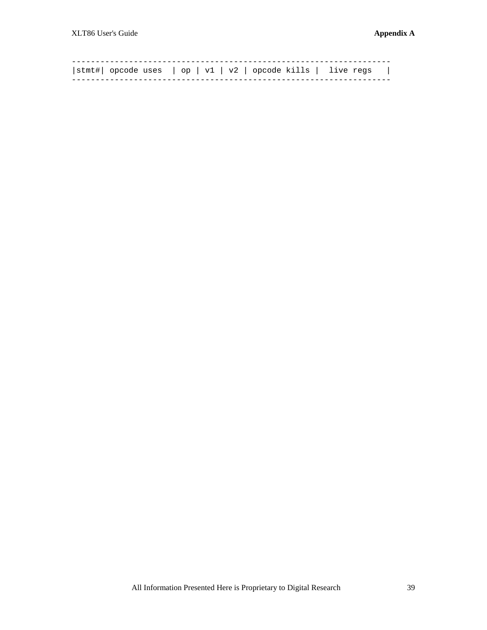| $ \text{stmt}\# $ opcode uses $ $ op $  v1   v2  $ opcode kills $ $ live regs $ $ |  |  |  |
|-----------------------------------------------------------------------------------|--|--|--|
|                                                                                   |  |  |  |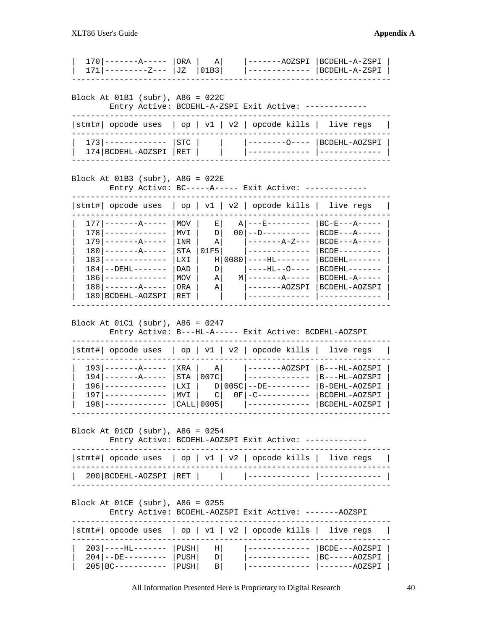| 171   ---------Z---                                                                                                                                                                                                            | ORA<br>JZ                                                   | $A \mid$<br>01B3                                | ----AOZSPI<br>. _ _ _ _ _ _ _ _ _ _                                                                                                                                                       | BCDEHL-A-ZSPI<br>BCDEHL-A-ZSPI                                                                                                                            |
|--------------------------------------------------------------------------------------------------------------------------------------------------------------------------------------------------------------------------------|-------------------------------------------------------------|-------------------------------------------------|-------------------------------------------------------------------------------------------------------------------------------------------------------------------------------------------|-----------------------------------------------------------------------------------------------------------------------------------------------------------|
| Block At $01B1$ (subr), A86 = $022C$                                                                                                                                                                                           |                                                             |                                                 | Entry Active: BCDEHL-A-ZSPI Exit Active: -                                                                                                                                                |                                                                                                                                                           |
| stmt#   opcode uses                                                                                                                                                                                                            |                                                             |                                                 | $\vert$ op $\vert$ v1 $\vert$ v2 $\vert$ opcode kills $\vert$                                                                                                                             | live regs                                                                                                                                                 |
| 173   -------------<br>174   BCDEHL-AOZSPI                                                                                                                                                                                     | STC<br>RET                                                  |                                                 |                                                                                                                                                                                           | --------0----   BCDEHL-AOZSPI<br>-------------                                                                                                            |
| Block At $01B3$ (subr), A86 = $022E$                                                                                                                                                                                           |                                                             |                                                 | Entry Active: BC-----A----- Exit Active: -----                                                                                                                                            |                                                                                                                                                           |
| stmt#   opcode uses   op   v1   v2   opcode kills   live regs                                                                                                                                                                  |                                                             |                                                 |                                                                                                                                                                                           |                                                                                                                                                           |
| $177$   -------A-----<br>$178$   -------------<br>$179$   $---A---$<br>$180$   ------- $A$ -----<br>1831<br>-------------<br>$184$   $--$ DEHL $---$<br>$186$   -------------<br>$188$   --------------<br>189   BCDEHL-AOZSPI | MOV<br>MVI<br>INR<br>STA<br>LXI<br>DAD<br>MOV<br>ORA<br>RET | E <br>$D \mid$<br>ΑI<br>01F5<br>D<br>ΑI<br>ΑI   | $A$   --- $E$ ---------<br>$00 ---D---------$<br>$- - - - - - - - - - - - - - - -$<br>H   0080   ----HL-------<br>$---HL--O---$<br>$M$   ------- $A$ -----<br>$---AOZSPI$<br>------------ | BC-E---A-----<br>$BCDE---A---$<br>$BCDE---A---$<br>$BCDE---------$<br>$BCDEHL------$<br>$BCDEHL------$<br>$BCDEHL-A---$<br>BCDEHL-AOZSPI<br>------------- |
| Block At $01C1$ (subr), $A86 = 0247$<br>stmt#   opcode uses                                                                                                                                                                    |                                                             |                                                 | Entry Active: B---HL-A----- Exit Active: BCDEHL-AOZSPI<br>$\vert$ op $\vert$ v1 $\vert$ v2 $\vert$ opcode kills $\vert$                                                                   | live regs                                                                                                                                                 |
| 193   --------A-----<br>$194$   -------------<br>$196$   ------<br>$197$   -----<br>$198$   $------$                                                                                                                           | XRA  <br>STA  <br>LXI  <br>MVI                              | $A \mid$<br>007C<br>$\mathsf{C}$<br>$CALL$ 0005 | -------AOZSPI<br>$D   005C   -- DE---$<br>$OF   -C------$                                                                                                                                 | B---HL-AOZSPI<br>B---HL-AOZSPI<br>B-DEHL-AOZSPI<br>BCDEHL-AOZSPI<br>BCDEHL-AOZSPI                                                                         |
| Block At $01CD$ (subr), $A86 = 0254$                                                                                                                                                                                           |                                                             |                                                 | Entry Active: BCDEHL-AOZSPI Exit Active: ------                                                                                                                                           |                                                                                                                                                           |
| stmt#   opcode uses   op   v1   v2   opcode kills   live regs                                                                                                                                                                  |                                                             |                                                 |                                                                                                                                                                                           |                                                                                                                                                           |
| 200   BCDEHL-AOZSPI   RET                                                                                                                                                                                                      |                                                             |                                                 |                                                                                                                                                                                           |                                                                                                                                                           |
| Block At $01CE$ (subr), $A86 = 0255$                                                                                                                                                                                           |                                                             |                                                 | Entry Active: BCDEHL-AOZSPI Exit Active: -------AOZSPI                                                                                                                                    |                                                                                                                                                           |
| stmt#   opcode uses   op   v1   v2   opcode kills   live regs                                                                                                                                                                  |                                                             |                                                 |                                                                                                                                                                                           |                                                                                                                                                           |
| 203   ----HL-------<br>$204$ --DE---------                                                                                                                                                                                     | PUSH  <br>  PUSH                                            | ΗI<br>D                                         |                                                                                                                                                                                           | BCDE---AOZSPI<br>$BC----AOZSPI$                                                                                                                           |

All Information Presented Here is Proprietary to Digital Research 40

| 205|BC----------- |PUSH| B| |------------- |-------AOZSPI |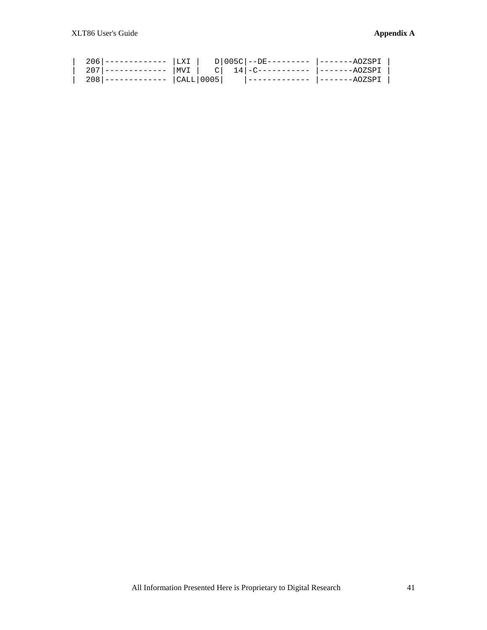| 2071                    |  |  | ------------   MVI   C  14 -C-----------  -------AOZSPI |  |
|-------------------------|--|--|---------------------------------------------------------|--|
| ------------  CALL 0005 |  |  | -------AOZSPI                                           |  |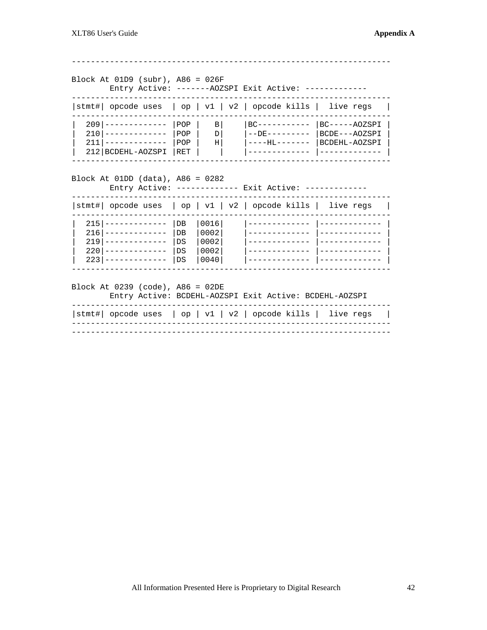Block At  $01D9$  (subr), A86 =  $026F$ Entry Active: -------AOZSPI Exit Active: -------------|stmt#| opcode uses | op | v1 | v2 | opcode kills | live regs | | 209|------------- |POP | B| |BC---------- |BC-----AOZSPI |<br>| 210|------------- |POP | D| |--DE--------- |BCDE---AOZSPI |<br>| 211|------------- |POP | H| |----HL------- |BCDEHL-AOZSPI |<br>| 212|BCDEHL-AOZSPI |RET | | | |-----Block At 01DD (data), A86 = 0282 Entry Active: ------------- Exit Active: ------------- $|\text{stmt}\#|$  opcode uses  $|$  op  $|$  v1  $|$  v2  $|$  opcode kills  $|$  live regs  $215$ |------------ |DB |0016| | \_\_\_\_\_\_\_\_\_\_\_\_\_ 1 \_ \_ \_ \_ \_ \_ \_ \_ \_ \_ \_ \_ \_ \_ 216 ------------- | DB | 0002 | 219 |------------- | DS | 0002 | - |-------------- |-------------- | | 220|------------- |DS |0002| |------------ |------------- |<br>| 223|------------- |DS |0040| |------------- |-------------- | Block At 0239 (code), A86 = 02DE Entry Active: BCDEHL-AOZSPI Exit Active: BCDEHL-AOZSPI  $|\text{stmt}\#|$  opcode uses  $|$  op  $| v1 | v2 |$  opcode kills  $|$  live regs  $|$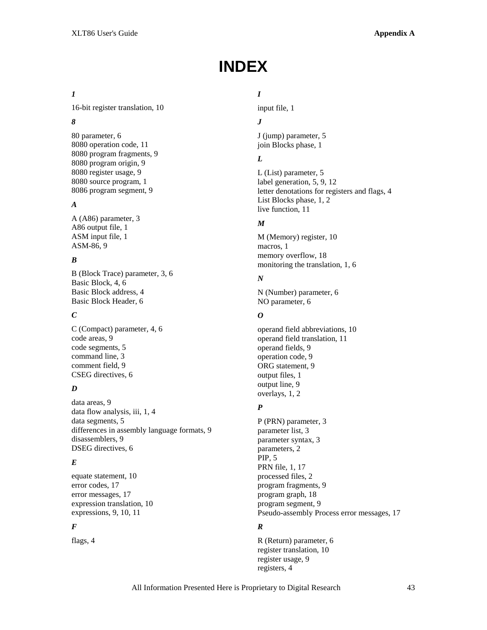# **INDEX**

# *1*

16-bit register translation, 10

# *8*

80 parameter, 6 8080 operation code, 11 8080 program fragments, 9 8080 program origin, 9 8080 register usage, 9 8080 source program, 1 8086 program segment, 9

# *A*

A (A86) parameter, 3 A86 output file, 1 ASM input file, 1 ASM-86, 9

# *B*

B (Block Trace) parameter, 3, 6 Basic Block, 4, 6 Basic Block address, 4 Basic Block Header, 6

# *C*

C (Compact) parameter, 4, 6 code areas, 9 code segments, 5 command line, 3 comment field, 9 CSEG directives, 6

# *D*

data areas, 9 data flow analysis, iii, 1, 4 data segments, 5 differences in assembly language formats, 9 disassemblers, 9 DSEG directives, 6

# *E*

equate statement, 10 error codes, 17 error messages, 17 expression translation, 10 expressions, 9, 10, 11

# *F*

flags, 4

# *I*

input file, 1

# *J*

J (jump) parameter, 5 join Blocks phase, 1

# *L*

L (List) parameter, 5 label generation, 5, 9, 12 letter denotations for registers and flags, 4 List Blocks phase, 1, 2 live function, 11

# *M*

M (Memory) register, 10 macros, 1 memory overflow, 18 monitoring the translation, 1, 6

# *N*

N (Number) parameter, 6 NO parameter, 6

# *O*

operand field abbreviations, 10 operand field translation, 11 operand fields, 9 operation code, 9 ORG statement, 9 output files, 1 output line, 9 overlays, 1, 2

# *P*

P (PRN) parameter, 3 parameter list, 3 parameter syntax, 3 parameters, 2 PIP, 5 PRN file, 1, 17 processed files, 2 program fragments, 9 program graph, 18 program segment, 9 Pseudo-assembly Process error messages, 17

# *R*

R (Return) parameter, 6 register translation, 10 register usage, 9 registers, 4